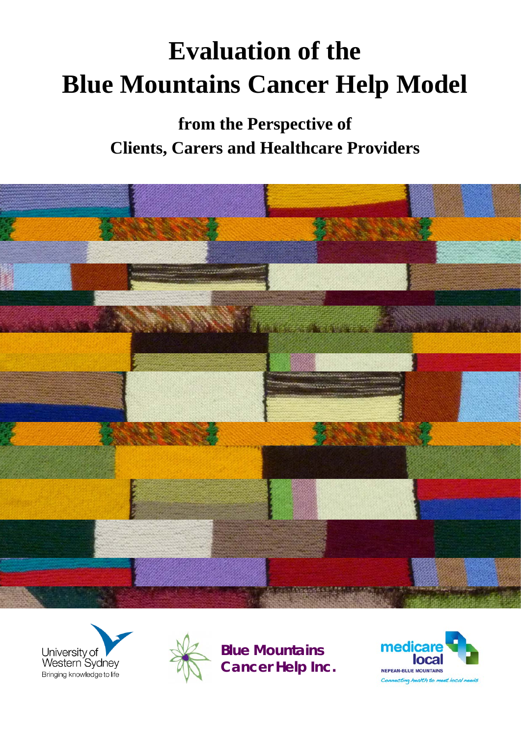# **Evaluation of the Blue Mountains Cancer Help Model**

**from the Perspective of Clients, Carers and Healthcare Providers** 







**Blue Mountains Cancer Help Inc.**

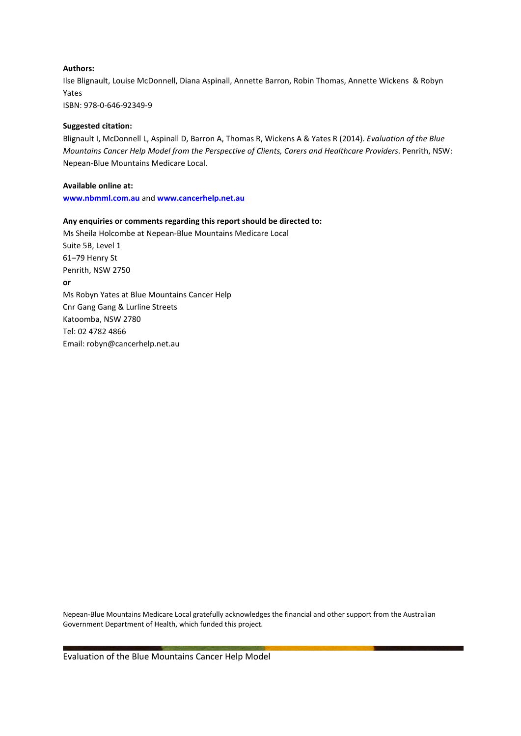#### **Authors:**

Ilse Blignault, Louise McDonnell, Diana Aspinall, Annette Barron, Robin Thomas, Annette Wickens & Robyn Yates ISBN: 978-0-646-92349-9

#### **Suggested citation:**

Blignault I, McDonnell L, Aspinall D, Barron A, Thomas R, Wickens A & Yates R (2014). *Evaluation of the Blue Mountains Cancer Help Model from the Perspective of Clients, Carers and Healthcare Providers*. Penrith, NSW: Nepean-Blue Mountains Medicare Local.

#### **Available online at:**

**[www.nbmml.com.au](http://www.nbmml.com.au/)** and **[www.cancerhelp.net.au](http://www.cancerhelp.net.au/)**

#### **Any enquiries or comments regarding this report should be directed to:**

Ms Sheila Holcombe at Nepean-Blue Mountains Medicare Local Suite 5B, Level 1 61–79 Henry St Penrith, NSW 2750 **or**  Ms Robyn Yates at Blue Mountains Cancer Help Cnr Gang Gang & Lurline Streets Katoomba, NSW 2780 Tel: 02 4782 4866 Email: [robyn@cancerhelp.net.au](mailto:robyn@cancerhelp.net.au)

Nepean-Blue Mountains Medicare Local gratefully acknowledges the financial and other support from the Australian Government Department of Health, which funded this project.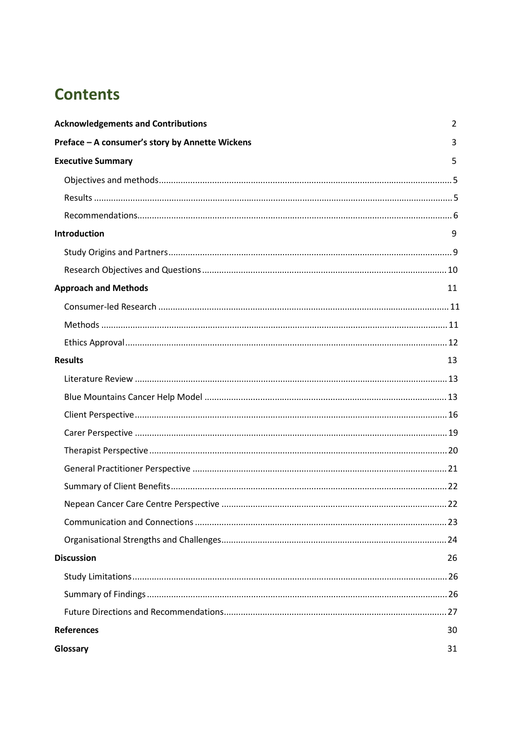# **Contents**

| <b>Acknowledgements and Contributions</b>       | 2  |
|-------------------------------------------------|----|
| Preface - A consumer's story by Annette Wickens | 3  |
| <b>Executive Summary</b>                        | 5  |
|                                                 |    |
|                                                 |    |
|                                                 |    |
| <b>Introduction</b>                             | 9  |
|                                                 |    |
|                                                 |    |
| <b>Approach and Methods</b>                     | 11 |
|                                                 |    |
|                                                 |    |
|                                                 |    |
| <b>Results</b>                                  | 13 |
|                                                 |    |
|                                                 |    |
|                                                 |    |
|                                                 |    |
|                                                 |    |
|                                                 |    |
|                                                 |    |
|                                                 |    |
|                                                 |    |
|                                                 |    |
| <b>Discussion</b>                               | 26 |
|                                                 |    |
|                                                 |    |
|                                                 |    |
| <b>References</b>                               | 30 |
| Glossary                                        | 31 |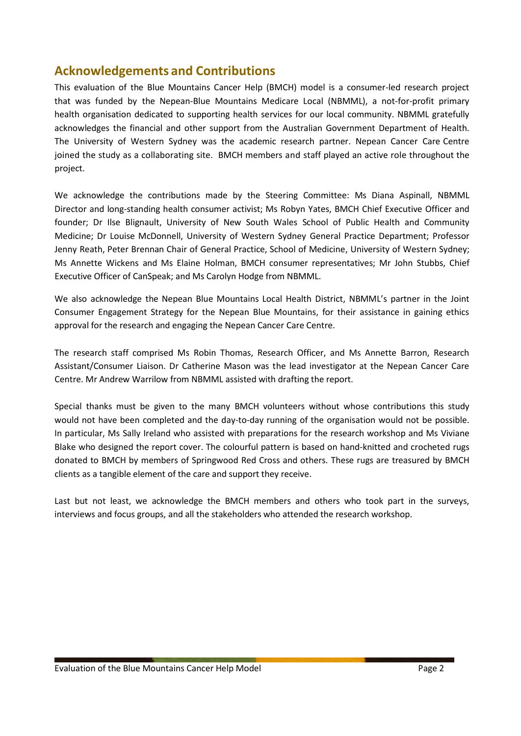# **Acknowledgements and Contributions**

This evaluation of the Blue Mountains Cancer Help (BMCH) model is a consumer-led research project that was funded by the Nepean-Blue Mountains Medicare Local (NBMML), a not-for-profit primary health organisation dedicated to supporting health services for our local community. NBMML gratefully acknowledges the financial and other support from the Australian Government Department of Health. The University of Western Sydney was the academic research partner. Nepean Cancer Care Centre joined the study as a collaborating site. BMCH members and staff played an active role throughout the project.

We acknowledge the contributions made by the Steering Committee: Ms Diana Aspinall, NBMML Director and long-standing health consumer activist; Ms Robyn Yates, BMCH Chief Executive Officer and founder; Dr Ilse Blignault, University of New South Wales School of Public Health and Community Medicine; Dr Louise McDonnell, University of Western Sydney General Practice Department; Professor Jenny Reath, Peter Brennan Chair of General Practice, School of Medicine, University of Western Sydney; Ms Annette Wickens and Ms Elaine Holman, BMCH consumer representatives; Mr John Stubbs, Chief Executive Officer of CanSpeak; and Ms Carolyn Hodge from NBMML.

We also acknowledge the Nepean Blue Mountains Local Health District, NBMML's partner in the Joint Consumer Engagement Strategy for the Nepean Blue Mountains, for their assistance in gaining ethics approval for the research and engaging the Nepean Cancer Care Centre.

The research staff comprised Ms Robin Thomas, Research Officer, and Ms Annette Barron, Research Assistant/Consumer Liaison. Dr Catherine Mason was the lead investigator at the Nepean Cancer Care Centre. Mr Andrew Warrilow from NBMML assisted with drafting the report.

Special thanks must be given to the many BMCH volunteers without whose contributions this study would not have been completed and the day-to-day running of the organisation would not be possible. In particular, Ms Sally Ireland who assisted with preparations for the research workshop and Ms Viviane Blake who designed the report cover. The colourful pattern is based on hand-knitted and crocheted rugs donated to BMCH by members of Springwood Red Cross and others. These rugs are treasured by BMCH clients as a tangible element of the care and support they receive.

Last but not least, we acknowledge the BMCH members and others who took part in the surveys, interviews and focus groups, and all the stakeholders who attended the research workshop.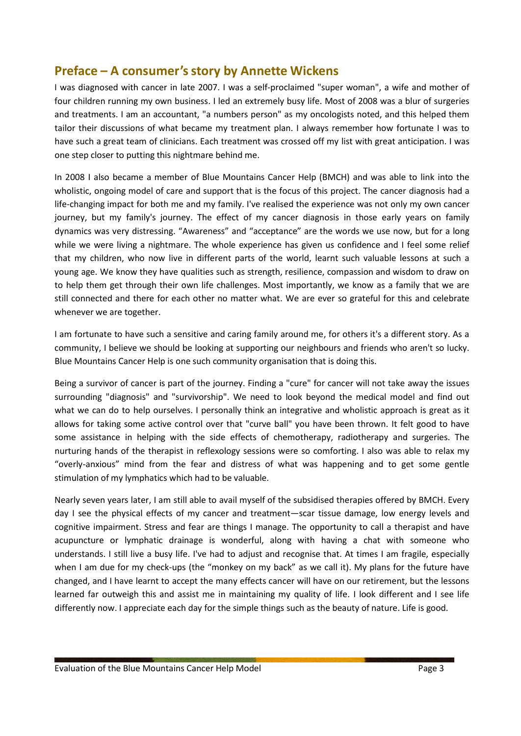# **Preface – A consumer'sstory by Annette Wickens**

I was diagnosed with cancer in late 2007. I was a self-proclaimed "super woman", a wife and mother of four children running my own business. I led an extremely busy life. Most of 2008 was a blur of surgeries and treatments. I am an accountant, "a numbers person" as my oncologists noted, and this helped them tailor their discussions of what became my treatment plan. I always remember how fortunate I was to have such a great team of clinicians. Each treatment was crossed off my list with great anticipation. I was one step closer to putting this nightmare behind me.

In 2008 I also became a member of Blue Mountains Cancer Help (BMCH) and was able to link into the wholistic, ongoing model of care and support that is the focus of this project. The cancer diagnosis had a life-changing impact for both me and my family. I've realised the experience was not only my own cancer journey, but my family's journey. The effect of my cancer diagnosis in those early years on family dynamics was very distressing. "Awareness" and "acceptance" are the words we use now, but for a long while we were living a nightmare. The whole experience has given us confidence and I feel some relief that my children, who now live in different parts of the world, learnt such valuable lessons at such a young age. We know they have qualities such as strength, resilience, compassion and wisdom to draw on to help them get through their own life challenges. Most importantly, we know as a family that we are still connected and there for each other no matter what. We are ever so grateful for this and celebrate whenever we are together.

I am fortunate to have such a sensitive and caring family around me, for others it's a different story. As a community, I believe we should be looking at supporting our neighbours and friends who aren't so lucky. Blue Mountains Cancer Help is one such community organisation that is doing this.

Being a survivor of cancer is part of the journey. Finding a "cure" for cancer will not take away the issues surrounding "diagnosis" and "survivorship". We need to look beyond the medical model and find out what we can do to help ourselves. I personally think an integrative and wholistic approach is great as it allows for taking some active control over that "curve ball" you have been thrown. It felt good to have some assistance in helping with the side effects of chemotherapy, radiotherapy and surgeries. The nurturing hands of the therapist in reflexology sessions were so comforting. I also was able to relax my "overly-anxious" mind from the fear and distress of what was happening and to get some gentle stimulation of my lymphatics which had to be valuable.

Nearly seven years later, I am still able to avail myself of the subsidised therapies offered by BMCH. Every day I see the physical effects of my cancer and treatment—scar tissue damage, low energy levels and cognitive impairment. Stress and fear are things I manage. The opportunity to call a therapist and have acupuncture or lymphatic drainage is wonderful, along with having a chat with someone who understands. I still live a busy life. I've had to adjust and recognise that. At times I am fragile, especially when I am due for my check-ups (the "monkey on my back" as we call it). My plans for the future have changed, and I have learnt to accept the many effects cancer will have on our retirement, but the lessons learned far outweigh this and assist me in maintaining my quality of life. I look different and I see life differently now. I appreciate each day for the simple things such as the beauty of nature. Life is good.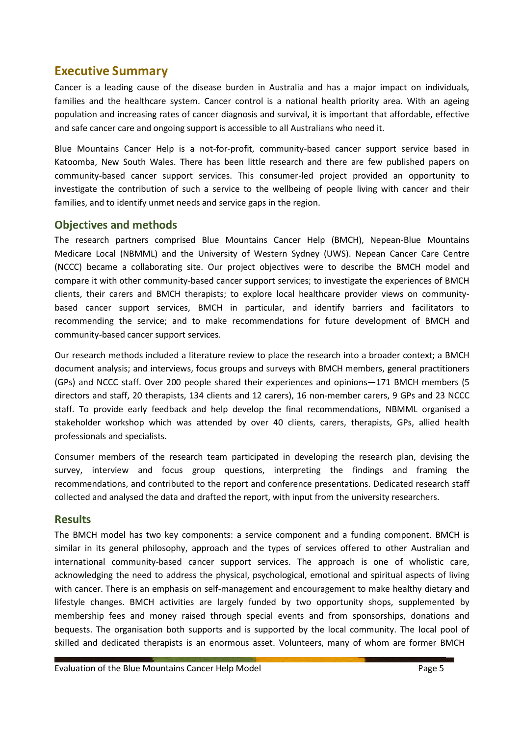# **Executive Summary**

Cancer is a leading cause of the disease burden in Australia and has a major impact on individuals, families and the healthcare system. Cancer control is a national health priority area. With an ageing population and increasing rates of cancer diagnosis and survival, it is important that affordable, effective and safe cancer care and ongoing support is accessible to all Australians who need it.

Blue Mountains Cancer Help is a not-for-profit, community-based cancer support service based in Katoomba, New South Wales. There has been little research and there are few published papers on community-based cancer support services. This consumer-led project provided an opportunity to investigate the contribution of such a service to the wellbeing of people living with cancer and their families, and to identify unmet needs and service gaps in the region.

# **Objectives and methods**

The research partners comprised Blue Mountains Cancer Help (BMCH), Nepean-Blue Mountains Medicare Local (NBMML) and the University of Western Sydney (UWS). Nepean Cancer Care Centre (NCCC) became a collaborating site. Our project objectives were to describe the BMCH model and compare it with other community-based cancer support services; to investigate the experiences of BMCH clients, their carers and BMCH therapists; to explore local healthcare provider views on communitybased cancer support services, BMCH in particular, and identify barriers and facilitators to recommending the service; and to make recommendations for future development of BMCH and community-based cancer support services.

Our research methods included a literature review to place the research into a broader context; a BMCH document analysis; and interviews, focus groups and surveys with BMCH members, general practitioners (GPs) and NCCC staff. Over 200 people shared their experiences and opinions—171 BMCH members (5 directors and staff, 20 therapists, 134 clients and 12 carers), 16 non-member carers, 9 GPs and 23 NCCC staff. To provide early feedback and help develop the final recommendations, NBMML organised a stakeholder workshop which was attended by over 40 clients, carers, therapists, GPs, allied health professionals and specialists.

Consumer members of the research team participated in developing the research plan, devising the survey, interview and focus group questions, interpreting the findings and framing the recommendations, and contributed to the report and conference presentations. Dedicated research staff collected and analysed the data and drafted the report, with input from the university researchers.

# **Results**

The BMCH model has two key components: a service component and a funding component. BMCH is similar in its general philosophy, approach and the types of services offered to other Australian and international community-based cancer support services. The approach is one of wholistic care, acknowledging the need to address the physical, psychological, emotional and spiritual aspects of living with cancer. There is an emphasis on self-management and encouragement to make healthy dietary and lifestyle changes. BMCH activities are largely funded by two opportunity shops, supplemented by membership fees and money raised through special events and from sponsorships, donations and bequests. The organisation both supports and is supported by the local community. The local pool of skilled and dedicated therapists is an enormous asset. Volunteers, many of whom are former BMCH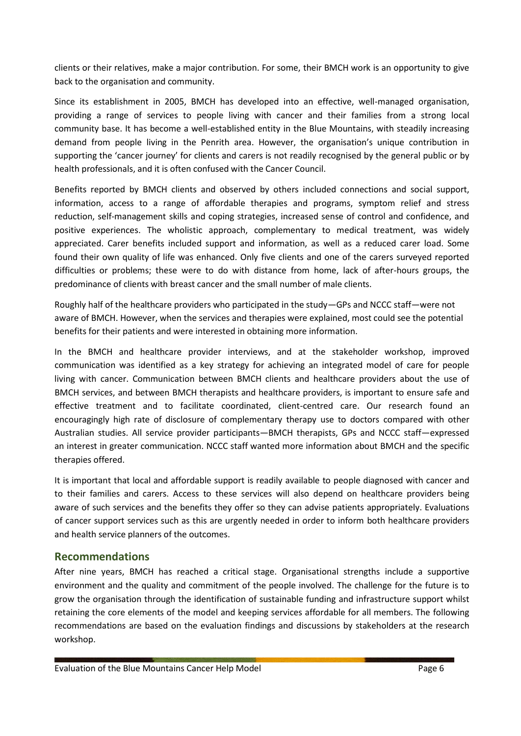clients or their relatives, make a major contribution. For some, their BMCH work is an opportunity to give back to the organisation and community.

Since its establishment in 2005, BMCH has developed into an effective, well-managed organisation, providing a range of services to people living with cancer and their families from a strong local community base. It has become a well-established entity in the Blue Mountains, with steadily increasing demand from people living in the Penrith area. However, the organisation's unique contribution in supporting the 'cancer journey' for clients and carers is not readily recognised by the general public or by health professionals, and it is often confused with the Cancer Council.

Benefits reported by BMCH clients and observed by others included connections and social support, information, access to a range of affordable therapies and programs, symptom relief and stress reduction, self-management skills and coping strategies, increased sense of control and confidence, and positive experiences. The wholistic approach, complementary to medical treatment, was widely appreciated. Carer benefits included support and information, as well as a reduced carer load. Some found their own quality of life was enhanced. Only five clients and one of the carers surveyed reported difficulties or problems; these were to do with distance from home, lack of after-hours groups, the predominance of clients with breast cancer and the small number of male clients.

Roughly half of the healthcare providers who participated in the study—GPs and NCCC staff—were not aware of BMCH. However, when the services and therapies were explained, most could see the potential benefits for their patients and were interested in obtaining more information.

In the BMCH and healthcare provider interviews, and at the stakeholder workshop, improved communication was identified as a key strategy for achieving an integrated model of care for people living with cancer. Communication between BMCH clients and healthcare providers about the use of BMCH services, and between BMCH therapists and healthcare providers, is important to ensure safe and effective treatment and to facilitate coordinated, client-centred care. Our research found an encouragingly high rate of disclosure of complementary therapy use to doctors compared with other Australian studies. All service provider participants—BMCH therapists, GPs and NCCC staff—expressed an interest in greater communication. NCCC staff wanted more information about BMCH and the specific therapies offered.

It is important that local and affordable support is readily available to people diagnosed with cancer and to their families and carers. Access to these services will also depend on healthcare providers being aware of such services and the benefits they offer so they can advise patients appropriately. Evaluations of cancer support services such as this are urgently needed in order to inform both healthcare providers and health service planners of the outcomes.

### **Recommendations**

After nine years, BMCH has reached a critical stage. Organisational strengths include a supportive environment and the quality and commitment of the people involved. The challenge for the future is to grow the organisation through the identification of sustainable funding and infrastructure support whilst retaining the core elements of the model and keeping services affordable for all members. The following recommendations are based on the evaluation findings and discussions by stakeholders at the research workshop.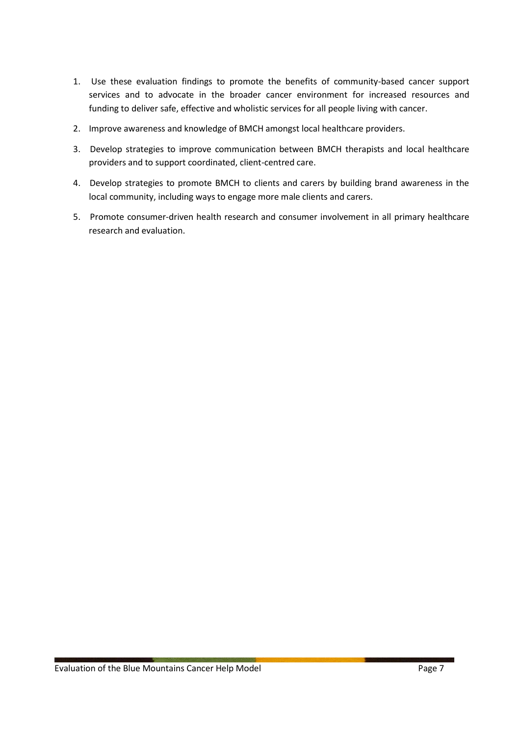- 1. Use these evaluation findings to promote the benefits of community-based cancer support services and to advocate in the broader cancer environment for increased resources and funding to deliver safe, effective and wholistic services for all people living with cancer.
- 2. Improve awareness and knowledge of BMCH amongst local healthcare providers.
- 3. Develop strategies to improve communication between BMCH therapists and local healthcare providers and to support coordinated, client-centred care.
- 4. Develop strategies to promote BMCH to clients and carers by building brand awareness in the local community, including ways to engage more male clients and carers.
- 5. Promote consumer-driven health research and consumer involvement in all primary healthcare research and evaluation.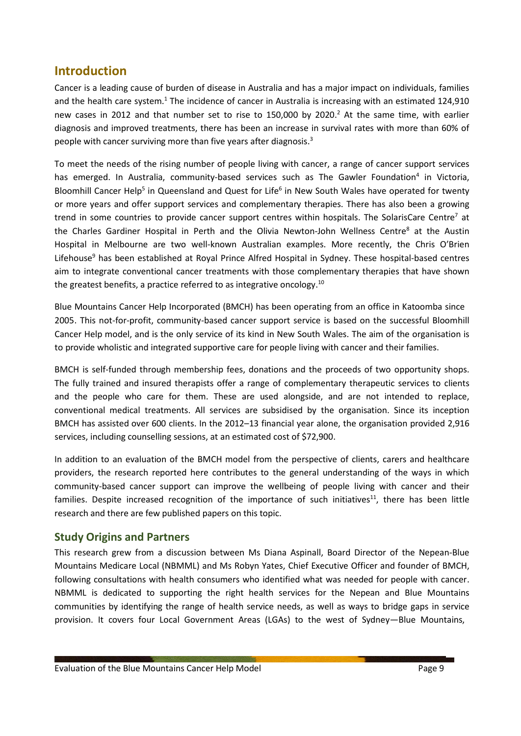# **Introduction**

Cancer is a leading cause of burden of disease in Australia and has a major impact on individuals, families and the health care system.<sup>1</sup> The incidence of cancer in Australia is increasing with an estimated 124,910 new cases in 2012 and that number set to rise to 150,000 by 2020. <sup>2</sup> At the same time, with earlier diagnosis and improved treatments, there has been an increase in survival rates with more than 60% of people with cancer surviving more than five years after diagnosis. 3

To meet the needs of the rising number of people living with cancer, a range of cancer support services has emerged. In Australia, community-based services such as The Gawler Foundation<sup>4</sup> in Victoria, Bloomhill Cancer Help<sup>5</sup> in Queensland and Quest for Life<sup>6</sup> in New South Wales have operated for twenty or more years and offer support services and complementary therapies. There has also been a growing trend in some countries to provide cancer support centres within hospitals. The SolarisCare Centre<sup>7</sup> at the Charles Gardiner Hospital in Perth and the Olivia Newton-John Wellness Centre<sup>8</sup> at the Austin Hospital in Melbourne are two well-known Australian examples. More recently, the Chris O'Brien Lifehouse<sup>9</sup> has been established at Royal Prince Alfred Hospital in Sydney. These hospital-based centres aim to integrate conventional cancer treatments with those complementary therapies that have shown the greatest benefits, a practice referred to as integrative oncology. $^{10}$ 

Blue Mountains Cancer Help Incorporated (BMCH) has been operating from an office in Katoomba since 2005. This not-for-profit, community-based cancer support service is based on the successful Bloomhill Cancer Help model, and is the only service of its kind in New South Wales. The aim of the organisation is to provide wholistic and integrated supportive care for people living with cancer and their families.

BMCH is self-funded through membership fees, donations and the proceeds of two opportunity shops. The fully trained and insured therapists offer a range of complementary therapeutic services to clients and the people who care for them. These are used alongside, and are not intended to replace, conventional medical treatments. All services are subsidised by the organisation. Since its inception BMCH has assisted over 600 clients. In the 2012–13 financial year alone, the organisation provided 2,916 services, including counselling sessions, at an estimated cost of \$72,900.

In addition to an evaluation of the BMCH model from the perspective of clients, carers and healthcare providers, the research reported here contributes to the general understanding of the ways in which community-based cancer support can improve the wellbeing of people living with cancer and their families. Despite increased recognition of the importance of such initiatives $11$ , there has been little research and there are few published papers on this topic.

# **Study Origins and Partners**

This research grew from a discussion between Ms Diana Aspinall, Board Director of the Nepean-Blue Mountains Medicare Local (NBMML) and Ms Robyn Yates, Chief Executive Officer and founder of BMCH, following consultations with health consumers who identified what was needed for people with cancer. NBMML is dedicated to supporting the right health services for the Nepean and Blue Mountains communities by identifying the range of health service needs, as well as ways to bridge gaps in service provision. It covers four Local Government Areas (LGAs) to the west of Sydney—Blue Mountains,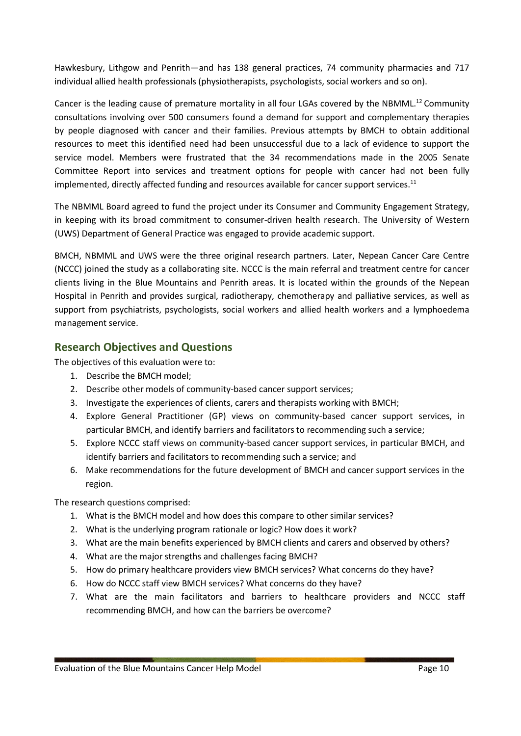Hawkesbury, Lithgow and Penrith—and has 138 general practices, 74 community pharmacies and 717 individual allied health professionals (physiotherapists, psychologists, social workers and so on).

Cancer is the leading cause of premature mortality in all four LGAs covered by the NBMML.<sup>12</sup> Community consultations involving over 500 consumers found a demand for support and complementary therapies by people diagnosed with cancer and their families. Previous attempts by BMCH to obtain additional resources to meet this identified need had been unsuccessful due to a lack of evidence to support the service model. Members were frustrated that the 34 recommendations made in the 2005 Senate Committee Report into services and treatment options for people with cancer had not been fully implemented, directly affected funding and resources available for cancer support services. $^{11}$ 

The NBMML Board agreed to fund the project under its Consumer and Community Engagement Strategy, in keeping with its broad commitment to consumer-driven health research. The University of Western (UWS) Department of General Practice was engaged to provide academic support.

BMCH, NBMML and UWS were the three original research partners. Later, Nepean Cancer Care Centre (NCCC) joined the study as a collaborating site. NCCC is the main referral and treatment centre for cancer clients living in the Blue Mountains and Penrith areas. It is located within the grounds of the Nepean Hospital in Penrith and provides surgical, radiotherapy, chemotherapy and palliative services, as well as support from psychiatrists, psychologists, social workers and allied health workers and a lymphoedema management service.

# **Research Objectives and Questions**

The objectives of this evaluation were to:

- 1. Describe the BMCH model;
- 2. Describe other models of community-based cancer support services;
- 3. Investigate the experiences of clients, carers and therapists working with BMCH;
- 4. Explore General Practitioner (GP) views on community-based cancer support services, in particular BMCH, and identify barriers and facilitators to recommending such a service;
- 5. Explore NCCC staff views on community-based cancer support services, in particular BMCH, and identify barriers and facilitators to recommending such a service; and
- 6. Make recommendations for the future development of BMCH and cancer support services in the region.

The research questions comprised:

- 1. What is the BMCH model and how does this compare to other similar services?
- 2. What is the underlying program rationale or logic? How does it work?
- 3. What are the main benefits experienced by BMCH clients and carers and observed by others?
- 4. What are the major strengths and challenges facing BMCH?
- 5. How do primary healthcare providers view BMCH services? What concerns do they have?
- 6. How do NCCC staff view BMCH services? What concerns do they have?
- 7. What are the main facilitators and barriers to healthcare providers and NCCC staff recommending BMCH, and how can the barriers be overcome?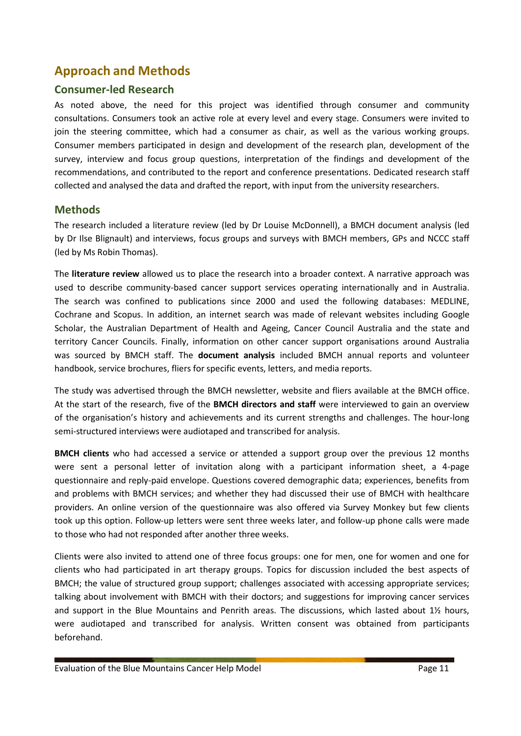# **Approach and Methods**

## **Consumer-led Research**

As noted above, the need for this project was identified through consumer and community consultations. Consumers took an active role at every level and every stage. Consumers were invited to join the steering committee, which had a consumer as chair, as well as the various working groups. Consumer members participated in design and development of the research plan, development of the survey, interview and focus group questions, interpretation of the findings and development of the recommendations, and contributed to the report and conference presentations. Dedicated research staff collected and analysed the data and drafted the report, with input from the university researchers.

# **Methods**

The research included a literature review (led by Dr Louise McDonnell), a BMCH document analysis (led by Dr Ilse Blignault) and interviews, focus groups and surveys with BMCH members, GPs and NCCC staff (led by Ms Robin Thomas).

The **literature review** allowed us to place the research into a broader context. A narrative approach was used to describe community-based cancer support services operating internationally and in Australia. The search was confined to publications since 2000 and used the following databases: MEDLINE, Cochrane and Scopus. In addition, an internet search was made of relevant websites including Google Scholar, the Australian Department of Health and Ageing, Cancer Council Australia and the state and territory Cancer Councils. Finally, information on other cancer support organisations around Australia was sourced by BMCH staff. The **document analysis** included BMCH annual reports and volunteer handbook, service brochures, fliers for specific events, letters, and media reports.

The study was advertised through the BMCH newsletter, website and fliers available at the BMCH office. At the start of the research, five of the **BMCH directors and staff** were interviewed to gain an overview of the organisation's history and achievements and its current strengths and challenges. The hour-long semi-structured interviews were audiotaped and transcribed for analysis.

**BMCH clients** who had accessed a service or attended a support group over the previous 12 months were sent a personal letter of invitation along with a participant information sheet, a 4-page questionnaire and reply-paid envelope. Questions covered demographic data; experiences, benefits from and problems with BMCH services; and whether they had discussed their use of BMCH with healthcare providers. An online version of the questionnaire was also offered via Survey Monkey but few clients took up this option. Follow-up letters were sent three weeks later, and follow-up phone calls were made to those who had not responded after another three weeks.

Clients were also invited to attend one of three focus groups: one for men, one for women and one for clients who had participated in art therapy groups. Topics for discussion included the best aspects of BMCH; the value of structured group support; challenges associated with accessing appropriate services; talking about involvement with BMCH with their doctors; and suggestions for improving cancer services and support in the Blue Mountains and Penrith areas. The discussions, which lasted about 1½ hours, were audiotaped and transcribed for analysis. Written consent was obtained from participants beforehand.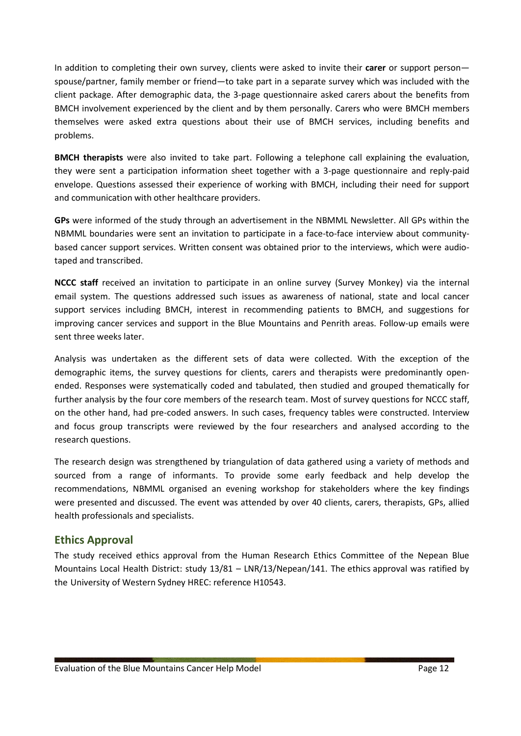In addition to completing their own survey, clients were asked to invite their **carer** or support person spouse/partner, family member or friend—to take part in a separate survey which was included with the client package. After demographic data, the 3-page questionnaire asked carers about the benefits from BMCH involvement experienced by the client and by them personally. Carers who were BMCH members themselves were asked extra questions about their use of BMCH services, including benefits and problems.

**BMCH therapists** were also invited to take part. Following a telephone call explaining the evaluation, they were sent a participation information sheet together with a 3-page questionnaire and reply-paid envelope. Questions assessed their experience of working with BMCH, including their need for support and communication with other healthcare providers.

**GPs** were informed of the study through an advertisement in the NBMML Newsletter. All GPs within the NBMML boundaries were sent an invitation to participate in a face-to-face interview about communitybased cancer support services. Written consent was obtained prior to the interviews, which were audiotaped and transcribed.

**NCCC staff** received an invitation to participate in an online survey (Survey Monkey) via the internal email system. The questions addressed such issues as awareness of national, state and local cancer support services including BMCH, interest in recommending patients to BMCH, and suggestions for improving cancer services and support in the Blue Mountains and Penrith areas. Follow-up emails were sent three weeks later.

Analysis was undertaken as the different sets of data were collected. With the exception of the demographic items, the survey questions for clients, carers and therapists were predominantly openended. Responses were systematically coded and tabulated, then studied and grouped thematically for further analysis by the four core members of the research team. Most of survey questions for NCCC staff, on the other hand, had pre-coded answers. In such cases, frequency tables were constructed. Interview and focus group transcripts were reviewed by the four researchers and analysed according to the research questions.

The research design was strengthened by triangulation of data gathered using a variety of methods and sourced from a range of informants. To provide some early feedback and help develop the recommendations, NBMML organised an evening workshop for stakeholders where the key findings were presented and discussed. The event was attended by over 40 clients, carers, therapists, GPs, allied health professionals and specialists.

# **Ethics Approval**

The study received ethics approval from the Human Research Ethics Committee of the Nepean Blue Mountains Local Health District: study 13/81 – LNR/13/Nepean/141. The ethics approval was ratified by the University of Western Sydney HREC: reference H10543.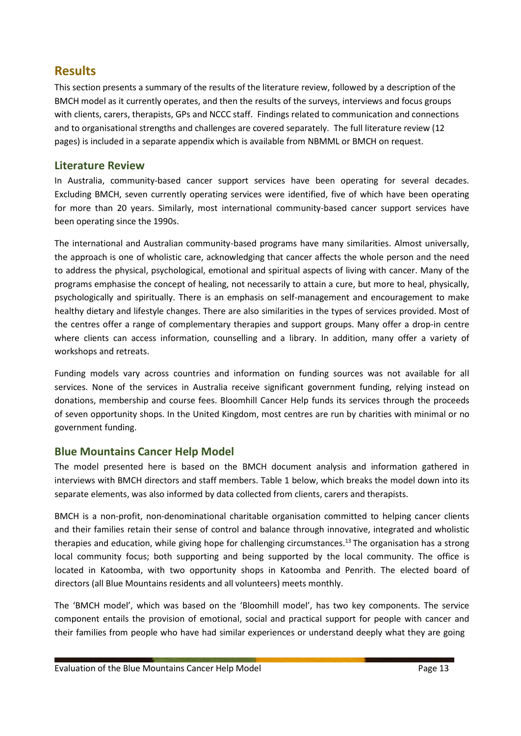# **Results**

This section presents a summary of the results of the literature review, followed by a description of the BMCH model as it currently operates, and then the results of the surveys, interviews and focus groups with clients, carers, therapists, GPs and NCCC staff. Findings related to communication and connections and to organisational strengths and challenges are covered separately. The full literature review (12 pages) is included in a separate appendix which is available from NBMML or BMCH on request.

## **Literature Review**

In Australia, community-based cancer support services have been operating for several decades. Excluding BMCH, seven currently operating services were identified, five of which have been operating for more than 20 years. Similarly, most international community-based cancer support services have been operating since the 1990s.

The international and Australian community-based programs have many similarities. Almost universally, the approach is one of wholistic care, acknowledging that cancer affects the whole person and the need to address the physical, psychological, emotional and spiritual aspects of living with cancer. Many of the programs emphasise the concept of healing, not necessarily to attain a cure, but more to heal, physically, psychologically and spiritually. There is an emphasis on self-management and encouragement to make healthy dietary and lifestyle changes. There are also similarities in the types of services provided. Most of the centres offer a range of complementary therapies and support groups. Many offer a drop-in centre where clients can access information, counselling and a library. In addition, many offer a variety of workshops and retreats.

Funding models vary across countries and information on funding sources was not available for all services. None of the services in Australia receive significant government funding, relying instead on donations, membership and course fees. Bloomhill Cancer Help funds its services through the proceeds of seven opportunity shops. In the United Kingdom, most centres are run by charities with minimal or no government funding.

# **Blue Mountains Cancer Help Model**

The model presented here is based on the BMCH document analysis and information gathered in interviews with BMCH directors and staff members. Table 1 below, which breaks the model down into its separate elements, was also informed by data collected from clients, carers and therapists.

BMCH is a non-profit, non-denominational charitable organisation committed to helping cancer clients and their families retain their sense of control and balance through innovative, integrated and wholistic therapies and education, while giving hope for challenging circumstances.<sup>13</sup> The organisation has a strong local community focus; both supporting and being supported by the local community. The office is located in Katoomba, with two opportunity shops in Katoomba and Penrith. The elected board of directors (all Blue Mountains residents and all volunteers) meets monthly.

The 'BMCH model', which was based on the 'Bloomhill model', has two key components. The service component entails the provision of emotional, social and practical support for people with cancer and their families from people who have had similar experiences or understand deeply what they are going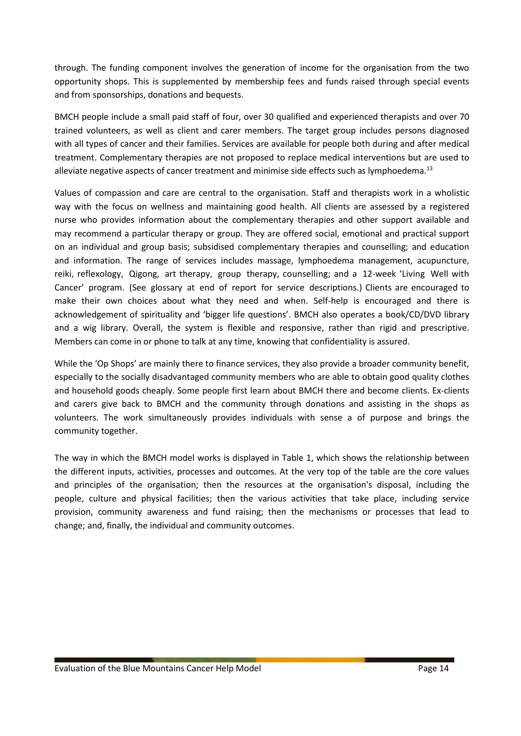through. The funding component involves the generation of income for the organisation from the two opportunity shops. This is supplemented by membership fees and funds raised through special events and from sponsorships, donations and bequests.

BMCH people include a small paid staff of four, over 30 qualified and experienced therapists and over 70 trained volunteers, as well as client and carer members. The target group includes persons diagnosed with all types of cancer and their families. Services are available for people both during and after medical treatment. Complementary therapies are not proposed to replace medical interventions but are used to alleviate negative aspects of cancer treatment and minimise side effects such as lymphoedema. $^{13}$ 

Values of compassion and care are central to the organisation. Staff and therapists work in a wholistic way with the focus on wellness and maintaining good health. All clients are assessed by a registered nurse who provides information about the complementary therapies and other support available and may recommend a particular therapy or group. They are offered social, emotional and practical support on an individual and group basis; subsidised complementary therapies and counselling; and education and information. The range of services includes massage, lymphoedema management, acupuncture, reiki, reflexology, Qigong, art therapy, group therapy, counselling; and a 12-week 'Living Well with Cancer' program. (See glossary at end of report for service descriptions.) Clients are encouraged to make their own choices about what they need and when. Self-help is encouraged and there is acknowledgement of spirituality and 'bigger life questions'. BMCH also operates a book/CD/DVD library and a wig library. Overall, the system is flexible and responsive, rather than rigid and prescriptive. Members can come in or phone to talk at any time, knowing that confidentiality is assured.

While the 'Op Shops' are mainly there to finance services, they also provide a broader community benefit, especially to the socially disadvantaged community members who are able to obtain good quality clothes and household goods cheaply. Some people first learn about BMCH there and become clients. Ex-clients and carers give back to BMCH and the community through donations and assisting in the shops as volunteers. The work simultaneously provides individuals with sense a of purpose and brings the community together.

The way in which the BMCH model works is displayed in Table 1, which shows the relationship between the different inputs, activities, processes and outcomes. At the very top of the table are the core values and principles of the organisation; then the resources at the organisation's disposal, including the people, culture and physical facilities; then the various activities that take place, including service provision, community awareness and fund raising; then the mechanisms or processes that lead to change; and, finally, the individual and community outcomes.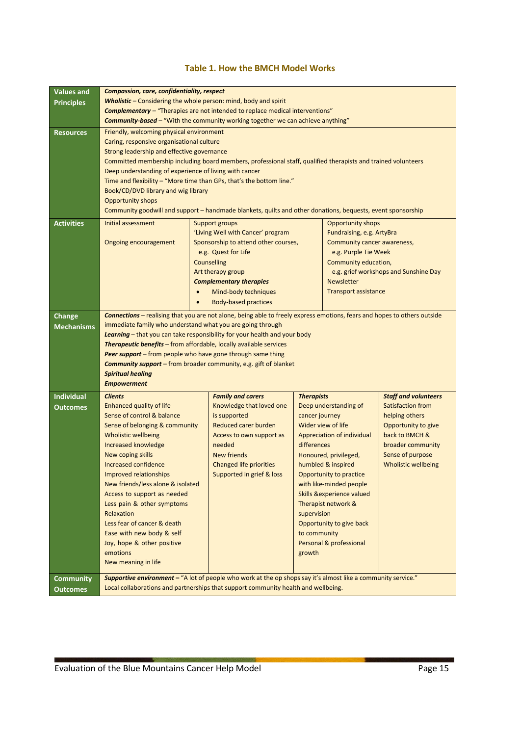#### **Table 1. How the BMCH Model Works**

| <b>Values and</b>                     | <b>Compassion, care, confidentiality, respect</b>                                                                                                                                                                                                                                                                                                                                                                                                                                                                                                                                                                                                                                |                                                                           |                   |                                      |                                       |  |  |  |
|---------------------------------------|----------------------------------------------------------------------------------------------------------------------------------------------------------------------------------------------------------------------------------------------------------------------------------------------------------------------------------------------------------------------------------------------------------------------------------------------------------------------------------------------------------------------------------------------------------------------------------------------------------------------------------------------------------------------------------|---------------------------------------------------------------------------|-------------------|--------------------------------------|---------------------------------------|--|--|--|
| <b>Principles</b>                     | <b>Wholistic</b> – Considering the whole person: mind, body and spirit                                                                                                                                                                                                                                                                                                                                                                                                                                                                                                                                                                                                           |                                                                           |                   |                                      |                                       |  |  |  |
|                                       | <b>Complementary</b> - "Therapies are not intended to replace medical interventions"                                                                                                                                                                                                                                                                                                                                                                                                                                                                                                                                                                                             |                                                                           |                   |                                      |                                       |  |  |  |
|                                       | <b>Community-based - "With the community working together we can achieve anything"</b>                                                                                                                                                                                                                                                                                                                                                                                                                                                                                                                                                                                           |                                                                           |                   |                                      |                                       |  |  |  |
| <b>Resources</b><br><b>Activities</b> | Friendly, welcoming physical environment<br>Caring, responsive organisational culture<br>Strong leadership and effective governance<br>Committed membership including board members, professional staff, qualified therapists and trained volunteers<br>Deep understanding of experience of living with cancer<br>Time and flexibility - "More time than GPs, that's the bottom line."<br>Book/CD/DVD library and wig library<br><b>Opportunity shops</b><br>Community goodwill and support - handmade blankets, quilts and other donations, bequests, event sponsorship<br>Initial assessment<br><b>Opportunity shops</b><br><b>Support groups</b><br>Fundraising, e.g. ArtyBra |                                                                           |                   |                                      |                                       |  |  |  |
|                                       | Ongoing encouragement                                                                                                                                                                                                                                                                                                                                                                                                                                                                                                                                                                                                                                                            | 'Living Well with Cancer' program<br>Sponsorship to attend other courses, |                   | Community cancer awareness,          |                                       |  |  |  |
|                                       |                                                                                                                                                                                                                                                                                                                                                                                                                                                                                                                                                                                                                                                                                  | e.g. Quest for Life                                                       |                   | e.g. Purple Tie Week                 |                                       |  |  |  |
|                                       |                                                                                                                                                                                                                                                                                                                                                                                                                                                                                                                                                                                                                                                                                  | <b>Counselling</b>                                                        |                   | Community education,                 |                                       |  |  |  |
|                                       |                                                                                                                                                                                                                                                                                                                                                                                                                                                                                                                                                                                                                                                                                  | Art therapy group                                                         |                   |                                      | e.g. grief workshops and Sunshine Day |  |  |  |
|                                       |                                                                                                                                                                                                                                                                                                                                                                                                                                                                                                                                                                                                                                                                                  | <b>Complementary therapies</b>                                            |                   | <b>Newsletter</b>                    |                                       |  |  |  |
|                                       |                                                                                                                                                                                                                                                                                                                                                                                                                                                                                                                                                                                                                                                                                  | Mind-body techniques                                                      |                   | <b>Transport assistance</b>          |                                       |  |  |  |
|                                       | $\bullet$                                                                                                                                                                                                                                                                                                                                                                                                                                                                                                                                                                                                                                                                        | <b>Body-based practices</b>                                               |                   |                                      |                                       |  |  |  |
| Change                                | <b>Connections</b> - realising that you are not alone, being able to freely express emotions, fears and hopes to others outside                                                                                                                                                                                                                                                                                                                                                                                                                                                                                                                                                  |                                                                           |                   |                                      |                                       |  |  |  |
| <b>Mechanisms</b>                     | immediate family who understand what you are going through                                                                                                                                                                                                                                                                                                                                                                                                                                                                                                                                                                                                                       |                                                                           |                   |                                      |                                       |  |  |  |
|                                       | Learning - that you can take responsibility for your health and your body                                                                                                                                                                                                                                                                                                                                                                                                                                                                                                                                                                                                        |                                                                           |                   |                                      |                                       |  |  |  |
|                                       | <b>Therapeutic benefits</b> - from affordable, locally available services                                                                                                                                                                                                                                                                                                                                                                                                                                                                                                                                                                                                        |                                                                           |                   |                                      |                                       |  |  |  |
|                                       | Peer support - from people who have gone through same thing                                                                                                                                                                                                                                                                                                                                                                                                                                                                                                                                                                                                                      |                                                                           |                   |                                      |                                       |  |  |  |
|                                       | <b>Community support</b> – from broader community, e.g. gift of blanket                                                                                                                                                                                                                                                                                                                                                                                                                                                                                                                                                                                                          |                                                                           |                   |                                      |                                       |  |  |  |
|                                       | <b>Spiritual healing</b><br><b>Empowerment</b>                                                                                                                                                                                                                                                                                                                                                                                                                                                                                                                                                                                                                                   |                                                                           |                   |                                      |                                       |  |  |  |
|                                       |                                                                                                                                                                                                                                                                                                                                                                                                                                                                                                                                                                                                                                                                                  |                                                                           |                   |                                      |                                       |  |  |  |
| <b>Individual</b>                     | <b>Clients</b>                                                                                                                                                                                                                                                                                                                                                                                                                                                                                                                                                                                                                                                                   | <b>Family and carers</b>                                                  | <b>Therapists</b> |                                      | <b>Staff and volunteers</b>           |  |  |  |
| <b>Outcomes</b>                       | Enhanced quality of life                                                                                                                                                                                                                                                                                                                                                                                                                                                                                                                                                                                                                                                         | Knowledge that loved one                                                  |                   | Deep understanding of                | Satisfaction from                     |  |  |  |
|                                       | Sense of control & balance<br>Sense of belonging & community                                                                                                                                                                                                                                                                                                                                                                                                                                                                                                                                                                                                                     | is supported<br><b>Reduced carer burden</b>                               | cancer journey    | Wider view of life                   | helping others<br>Opportunity to give |  |  |  |
|                                       | <b>Wholistic wellbeing</b>                                                                                                                                                                                                                                                                                                                                                                                                                                                                                                                                                                                                                                                       | Access to own support as                                                  |                   | Appreciation of individual           | back to BMCH &                        |  |  |  |
|                                       | Increased knowledge                                                                                                                                                                                                                                                                                                                                                                                                                                                                                                                                                                                                                                                              | needed                                                                    | differences       |                                      | broader community                     |  |  |  |
|                                       | New coping skills                                                                                                                                                                                                                                                                                                                                                                                                                                                                                                                                                                                                                                                                | <b>New friends</b>                                                        |                   | Honoured, privileged,                | Sense of purpose                      |  |  |  |
|                                       | <b>Increased confidence</b><br><b>Changed life priorities</b><br>humbled & inspired<br><b>Wholistic wellbeing</b>                                                                                                                                                                                                                                                                                                                                                                                                                                                                                                                                                                |                                                                           |                   |                                      |                                       |  |  |  |
|                                       | Improved relationships<br>Supported in grief & loss<br>Opportunity to practice                                                                                                                                                                                                                                                                                                                                                                                                                                                                                                                                                                                                   |                                                                           |                   |                                      |                                       |  |  |  |
|                                       | New friends/less alone & isolated                                                                                                                                                                                                                                                                                                                                                                                                                                                                                                                                                                                                                                                |                                                                           |                   | with like-minded people              |                                       |  |  |  |
|                                       | Access to support as needed                                                                                                                                                                                                                                                                                                                                                                                                                                                                                                                                                                                                                                                      |                                                                           |                   | <b>Skills &amp;experience valued</b> |                                       |  |  |  |
|                                       | Less pain & other symptoms                                                                                                                                                                                                                                                                                                                                                                                                                                                                                                                                                                                                                                                       |                                                                           |                   | Therapist network &                  |                                       |  |  |  |
|                                       | Relaxation                                                                                                                                                                                                                                                                                                                                                                                                                                                                                                                                                                                                                                                                       |                                                                           | supervision       |                                      |                                       |  |  |  |
|                                       | Less fear of cancer & death                                                                                                                                                                                                                                                                                                                                                                                                                                                                                                                                                                                                                                                      |                                                                           |                   | Opportunity to give back             |                                       |  |  |  |
|                                       | Ease with new body & self                                                                                                                                                                                                                                                                                                                                                                                                                                                                                                                                                                                                                                                        |                                                                           | to community      |                                      |                                       |  |  |  |
|                                       | Joy, hope & other positive                                                                                                                                                                                                                                                                                                                                                                                                                                                                                                                                                                                                                                                       |                                                                           |                   | Personal & professional              |                                       |  |  |  |
|                                       | emotions                                                                                                                                                                                                                                                                                                                                                                                                                                                                                                                                                                                                                                                                         |                                                                           | growth            |                                      |                                       |  |  |  |
|                                       | New meaning in life                                                                                                                                                                                                                                                                                                                                                                                                                                                                                                                                                                                                                                                              |                                                                           |                   |                                      |                                       |  |  |  |
| <b>Community</b>                      | Supportive environment - "A lot of people who work at the op shops say it's almost like a community service."                                                                                                                                                                                                                                                                                                                                                                                                                                                                                                                                                                    |                                                                           |                   |                                      |                                       |  |  |  |
| <b>Outcomes</b>                       | Local collaborations and partnerships that support community health and wellbeing.                                                                                                                                                                                                                                                                                                                                                                                                                                                                                                                                                                                               |                                                                           |                   |                                      |                                       |  |  |  |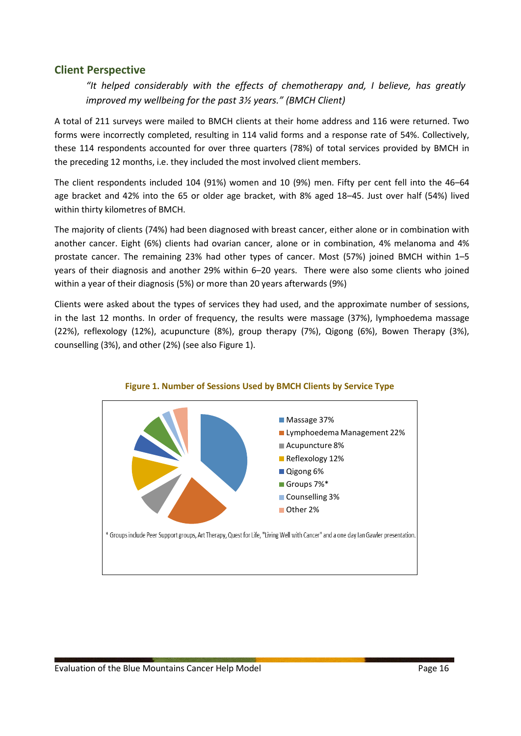### **Client Perspective**

*"It helped considerably with the effects of chemotherapy and, I believe, has greatly improved my wellbeing for the past 3½ years." (BMCH Client)*

A total of 211 surveys were mailed to BMCH clients at their home address and 116 were returned. Two forms were incorrectly completed, resulting in 114 valid forms and a response rate of 54%. Collectively, these 114 respondents accounted for over three quarters (78%) of total services provided by BMCH in the preceding 12 months, i.e. they included the most involved client members.

The client respondents included 104 (91%) women and 10 (9%) men. Fifty per cent fell into the 46–64 age bracket and 42% into the 65 or older age bracket, with 8% aged 18–45. Just over half (54%) lived within thirty kilometres of BMCH.

The majority of clients (74%) had been diagnosed with breast cancer, either alone or in combination with another cancer. Eight (6%) clients had ovarian cancer, alone or in combination, 4% melanoma and 4% prostate cancer. The remaining 23% had other types of cancer. Most (57%) joined BMCH within 1–5 years of their diagnosis and another 29% within 6–20 years. There were also some clients who joined within a year of their diagnosis (5%) or more than 20 years afterwards (9%)

Clients were asked about the types of services they had used, and the approximate number of sessions, in the last 12 months. In order of frequency, the results were massage (37%), lymphoedema massage (22%), reflexology (12%), acupuncture (8%), group therapy (7%), Qigong (6%), Bowen Therapy (3%), counselling (3%), and other (2%) (see also Figure 1).



#### **Figure 1. Number of Sessions Used by BMCH Clients by Service Type**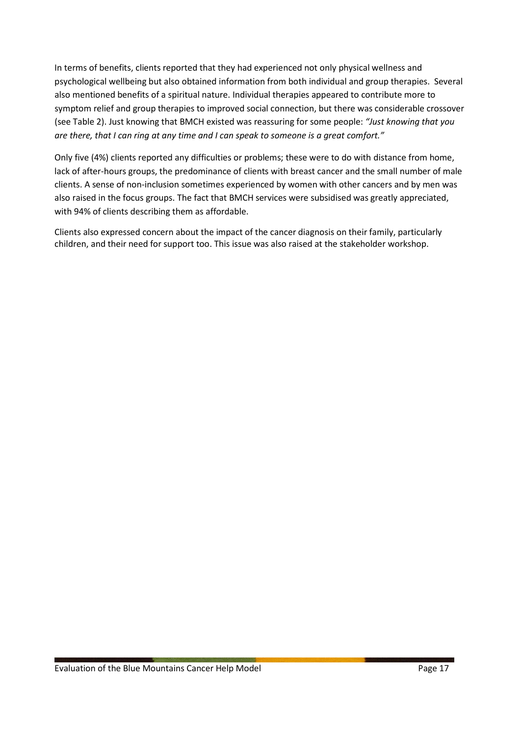In terms of benefits, clients reported that they had experienced not only physical wellness and psychological wellbeing but also obtained information from both individual and group therapies. Several also mentioned benefits of a spiritual nature. Individual therapies appeared to contribute more to symptom relief and group therapies to improved social connection, but there was considerable crossover (see Table 2). Just knowing that BMCH existed was reassuring for some people: *"Just knowing that you are there, that I can ring at any time and I can speak to someone is a great comfort."*

Only five (4%) clients reported any difficulties or problems; these were to do with distance from home, lack of after-hours groups, the predominance of clients with breast cancer and the small number of male clients. A sense of non-inclusion sometimes experienced by women with other cancers and by men was also raised in the focus groups. The fact that BMCH services were subsidised was greatly appreciated, with 94% of clients describing them as affordable.

Clients also expressed concern about the impact of the cancer diagnosis on their family, particularly children, and their need for support too. This issue was also raised at the stakeholder workshop.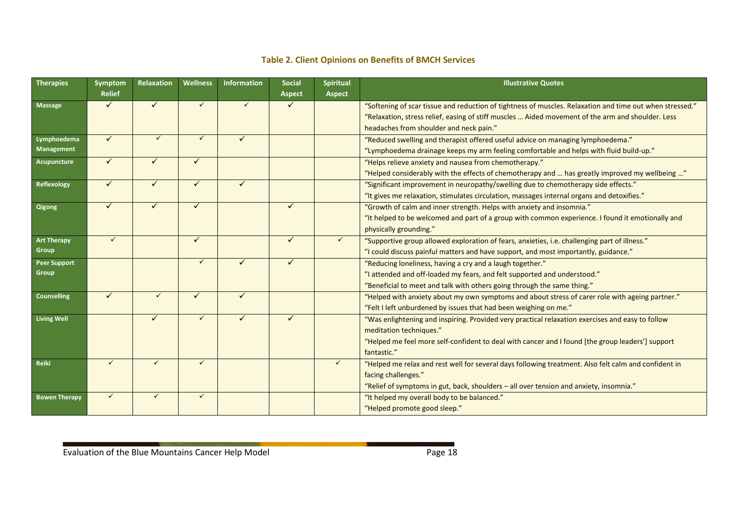### **Table 2. Client Opinions on Benefits of BMCH Services**

| <b>Therapies</b>     | Symptom       | Relaxation   | <b>Wellness</b> | <b>Information</b> | <b>Social</b> | Spiritual     | <b>Illustrative Quotes</b>                                                                               |  |
|----------------------|---------------|--------------|-----------------|--------------------|---------------|---------------|----------------------------------------------------------------------------------------------------------|--|
|                      | <b>Relief</b> |              |                 |                    | <b>Aspect</b> | <b>Aspect</b> |                                                                                                          |  |
| <b>Massage</b>       | $\checkmark$  | $\checkmark$ | $\checkmark$    | $\checkmark$       | $\checkmark$  |               | "Softening of scar tissue and reduction of tightness of muscles. Relaxation and time out when stressed." |  |
|                      |               |              |                 |                    |               |               | "Relaxation, stress relief, easing of stiff muscles  Aided movement of the arm and shoulder. Less        |  |
|                      |               |              |                 |                    |               |               | headaches from shoulder and neck pain."                                                                  |  |
| Lymphoedema          | $\checkmark$  | $\checkmark$ | $\checkmark$    |                    |               |               | "Reduced swelling and therapist offered useful advice on managing lymphoedema."                          |  |
| <b>Management</b>    |               |              |                 |                    |               |               | "Lymphoedema drainage keeps my arm feeling comfortable and helps with fluid build-up."                   |  |
| <b>Acupuncture</b>   | $\checkmark$  | $\checkmark$ | $\checkmark$    |                    |               |               | "Helps relieve anxiety and nausea from chemotherapy."                                                    |  |
|                      |               |              |                 |                    |               |               | "Helped considerably with the effects of chemotherapy and  has greatly improved my wellbeing "           |  |
| Reflexology          | $\checkmark$  | $\checkmark$ | $\checkmark$    |                    |               |               | "Significant improvement in neuropathy/swelling due to chemotherapy side effects."                       |  |
|                      |               |              |                 |                    |               |               | "It gives me relaxation, stimulates circulation, massages internal organs and detoxifies."               |  |
| Qigong               | $\checkmark$  | $\checkmark$ | $\checkmark$    |                    | ✓             |               | "Growth of calm and inner strength. Helps with anxiety and insomnia."                                    |  |
|                      |               |              |                 |                    |               |               | "It helped to be welcomed and part of a group with common experience. I found it emotionally and         |  |
|                      |               |              |                 |                    |               |               | physically grounding."                                                                                   |  |
| <b>Art Therapy</b>   | $\checkmark$  |              | $\checkmark$    |                    | $\checkmark$  | $\checkmark$  | "Supportive group allowed exploration of fears, anxieties, i.e. challenging part of illness."            |  |
| Group                |               |              |                 |                    |               |               | "I could discuss painful matters and have support, and most importantly, guidance."                      |  |
| <b>Peer Support</b>  |               |              | $\checkmark$    |                    | $\checkmark$  |               | "Reducing loneliness, having a cry and a laugh together."                                                |  |
| <b>Group</b>         |               |              |                 |                    |               |               | "I attended and off-loaded my fears, and felt supported and understood."                                 |  |
|                      |               |              |                 |                    |               |               | "Beneficial to meet and talk with others going through the same thing."                                  |  |
| <b>Counselling</b>   | $\checkmark$  | ✓            | ✓               |                    |               |               | "Helped with anxiety about my own symptoms and about stress of carer role with ageing partner."          |  |
|                      |               |              |                 |                    |               |               | "Felt I left unburdened by issues that had been weighing on me."                                         |  |
| <b>Living Well</b>   |               | $\checkmark$ | $\checkmark$    | ✓                  | $\checkmark$  |               | "Was enlightening and inspiring. Provided very practical relaxation exercises and easy to follow         |  |
|                      |               |              |                 |                    |               |               | meditation techniques."                                                                                  |  |
|                      |               |              |                 |                    |               |               | "Helped me feel more self-confident to deal with cancer and I found [the group leaders'] support         |  |
|                      |               |              |                 |                    |               |               | fantastic."                                                                                              |  |
| Reiki                | $\checkmark$  | ✓            | $\checkmark$    |                    |               | $\checkmark$  | "Helped me relax and rest well for several days following treatment. Also felt calm and confident in     |  |
|                      |               |              |                 |                    |               |               | facing challenges."                                                                                      |  |
|                      |               |              |                 |                    |               |               | "Relief of symptoms in gut, back, shoulders - all over tension and anxiety, insomnia."                   |  |
| <b>Bowen Therapy</b> | $\checkmark$  | $\checkmark$ | $\checkmark$    |                    |               |               | "It helped my overall body to be balanced."                                                              |  |
|                      |               |              |                 |                    |               |               | "Helped promote good sleep."                                                                             |  |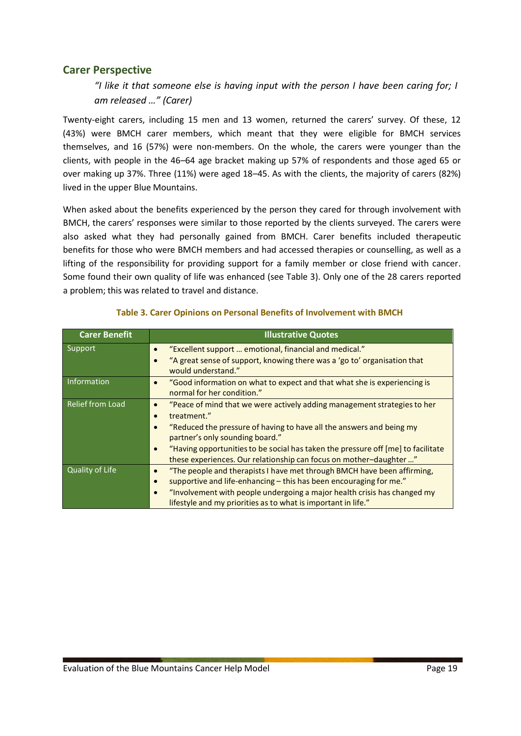### **Carer Perspective**

*"I like it that someone else is having input with the person I have been caring for; I am released …" (Carer)*

Twenty-eight carers, including 15 men and 13 women, returned the carers' survey. Of these, 12 (43%) were BMCH carer members, which meant that they were eligible for BMCH services themselves, and 16 (57%) were non-members. On the whole, the carers were younger than the clients, with people in the 46–64 age bracket making up 57% of respondents and those aged 65 or over making up 37%. Three (11%) were aged 18–45. As with the clients, the majority of carers (82%) lived in the upper Blue Mountains.

When asked about the benefits experienced by the person they cared for through involvement with BMCH, the carers' responses were similar to those reported by the clients surveyed. The carers were also asked what they had personally gained from BMCH. Carer benefits included therapeutic benefits for those who were BMCH members and had accessed therapies or counselling, as well as a lifting of the responsibility for providing support for a family member or close friend with cancer. Some found their own quality of life was enhanced (see Table 3). Only one of the 28 carers reported a problem; this was related to travel and distance.

| <b>Carer Benefit</b> | <b>Illustrative Quotes</b>                                                                                                         |
|----------------------|------------------------------------------------------------------------------------------------------------------------------------|
| Support              | "Excellent support  emotional, financial and medical."<br>"A great sense of support, knowing there was a 'go to' organisation that |
|                      | $\bullet$<br>would understand."                                                                                                    |
| Information          | "Good information on what to expect and that what she is experiencing is<br>normal for her condition."                             |
| Relief from Load     | "Peace of mind that we were actively adding management strategies to her<br>$\bullet$                                              |
|                      | treatment."                                                                                                                        |
|                      | "Reduced the pressure of having to have all the answers and being my                                                               |
|                      | partner's only sounding board."                                                                                                    |
|                      | "Having opportunities to be social has taken the pressure off [me] to facilitate<br>$\bullet$                                      |
|                      | these experiences. Our relationship can focus on mother-daughter "                                                                 |
| Quality of Life      | "The people and therapists I have met through BMCH have been affirming,                                                            |
|                      | supportive and life-enhancing - this has been encouraging for me."                                                                 |
|                      | "Involvement with people undergoing a major health crisis has changed my<br>$\bullet$                                              |
|                      | lifestyle and my priorities as to what is important in life."                                                                      |

#### **Table 3. Carer Opinions on Personal Benefits of Involvement with BMCH**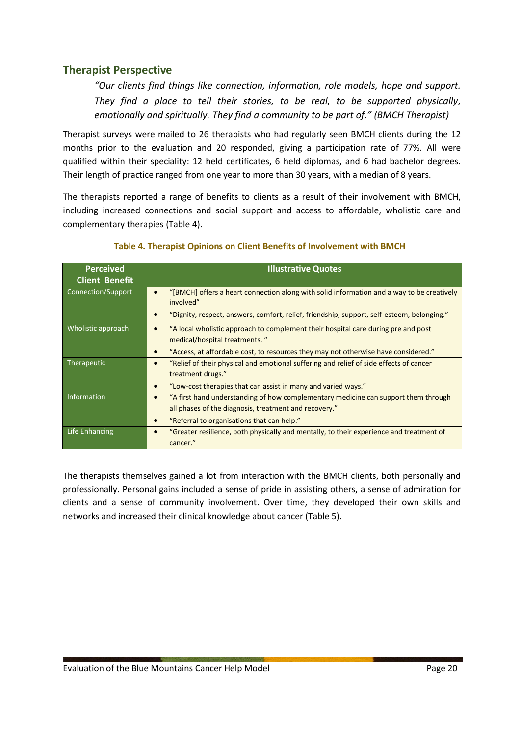## **Therapist Perspective**

*"Our clients find things like connection, information, role models, hope and support. They find a place to tell their stories, to be real, to be supported physically, emotionally and spiritually. They find a community to be part of." (BMCH Therapist)*

Therapist surveys were mailed to 26 therapists who had regularly seen BMCH clients during the 12 months prior to the evaluation and 20 responded, giving a participation rate of 77%. All were qualified within their speciality: 12 held certificates, 6 held diplomas, and 6 had bachelor degrees. Their length of practice ranged from one year to more than 30 years, with a median of 8 years.

The therapists reported a range of benefits to clients as a result of their involvement with BMCH, including increased connections and social support and access to affordable, wholistic care and complementary therapies (Table 4).

| <b>Perceived</b>      | <b>Illustrative Quotes</b>                                                                                                       |  |  |  |
|-----------------------|----------------------------------------------------------------------------------------------------------------------------------|--|--|--|
| <b>Client Benefit</b> |                                                                                                                                  |  |  |  |
| Connection/Support    | "[BMCH] offers a heart connection along with solid information and a way to be creatively<br>$\bullet$<br>involved"              |  |  |  |
|                       | "Dignity, respect, answers, comfort, relief, friendship, support, self-esteem, belonging."                                       |  |  |  |
| Wholistic approach    | "A local wholistic approach to complement their hospital care during pre and post<br>$\bullet$<br>medical/hospital treatments. " |  |  |  |
|                       | "Access, at affordable cost, to resources they may not otherwise have considered."<br>$\bullet$                                  |  |  |  |
| Therapeutic           | "Relief of their physical and emotional suffering and relief of side effects of cancer<br>$\bullet$<br>treatment drugs."         |  |  |  |
|                       | "Low-cost therapies that can assist in many and varied ways."<br>$\bullet$                                                       |  |  |  |
| Information           | "A first hand understanding of how complementary medicine can support them through<br>$\bullet$                                  |  |  |  |
|                       | all phases of the diagnosis, treatment and recovery."                                                                            |  |  |  |
|                       | "Referral to organisations that can help."<br>$\bullet$                                                                          |  |  |  |
| Life Enhancing        | "Greater resilience, both physically and mentally, to their experience and treatment of<br>$\bullet$<br>cancer."                 |  |  |  |

#### **Table 4. Therapist Opinions on Client Benefits of Involvement with BMCH**

The therapists themselves gained a lot from interaction with the BMCH clients, both personally and professionally. Personal gains included a sense of pride in assisting others, a sense of admiration for clients and a sense of community involvement. Over time, they developed their own skills and networks and increased their clinical knowledge about cancer (Table 5).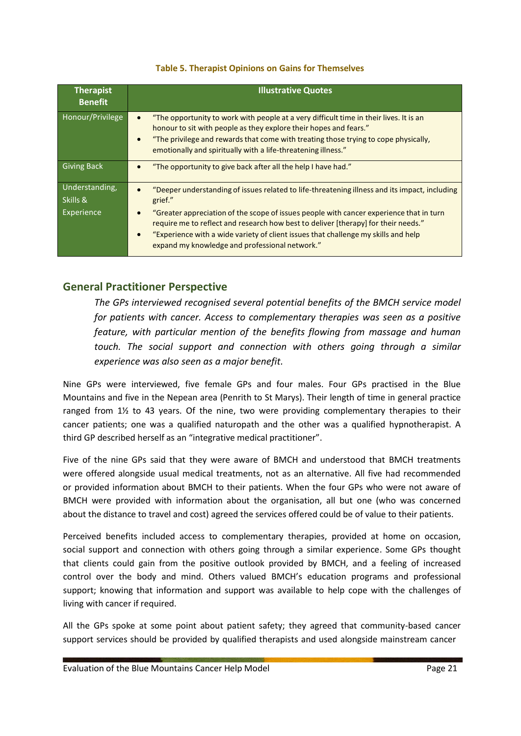#### **Table 5. Therapist Opinions on Gains for Themselves**

| <b>Therapist</b><br><b>Benefit</b> | <b>Illustrative Quotes</b>                                                                                                                                                                                                                                                                                            |
|------------------------------------|-----------------------------------------------------------------------------------------------------------------------------------------------------------------------------------------------------------------------------------------------------------------------------------------------------------------------|
| Honour/Privilege                   | "The opportunity to work with people at a very difficult time in their lives. It is an<br>honour to sit with people as they explore their hopes and fears."<br>"The privilege and rewards that come with treating those trying to cope physically,<br>emotionally and spiritually with a life-threatening illness."   |
| <b>Giving Back</b>                 | "The opportunity to give back after all the help I have had."                                                                                                                                                                                                                                                         |
| Understanding,<br>Skills &         | "Deeper understanding of issues related to life-threatening illness and its impact, including<br>grief."                                                                                                                                                                                                              |
| Experience                         | "Greater appreciation of the scope of issues people with cancer experience that in turn<br>require me to reflect and research how best to deliver [therapy] for their needs."<br>"Experience with a wide variety of client issues that challenge my skills and help<br>expand my knowledge and professional network." |

# **General Practitioner Perspective**

*The GPs interviewed recognised several potential benefits of the BMCH service model for patients with cancer. Access to complementary therapies was seen as a positive feature, with particular mention of the benefits flowing from massage and human touch. The social support and connection with others going through a similar experience was also seen as a major benefit.*

Nine GPs were interviewed, five female GPs and four males. Four GPs practised in the Blue Mountains and five in the Nepean area (Penrith to St Marys). Their length of time in general practice ranged from 1½ to 43 years. Of the nine, two were providing complementary therapies to their cancer patients; one was a qualified naturopath and the other was a qualified hypnotherapist. A third GP described herself as an "integrative medical practitioner".

Five of the nine GPs said that they were aware of BMCH and understood that BMCH treatments were offered alongside usual medical treatments, not as an alternative. All five had recommended or provided information about BMCH to their patients. When the four GPs who were not aware of BMCH were provided with information about the organisation, all but one (who was concerned about the distance to travel and cost) agreed the services offered could be of value to their patients.

Perceived benefits included access to complementary therapies, provided at home on occasion, social support and connection with others going through a similar experience. Some GPs thought that clients could gain from the positive outlook provided by BMCH, and a feeling of increased control over the body and mind. Others valued BMCH's education programs and professional support; knowing that information and support was available to help cope with the challenges of living with cancer if required.

All the GPs spoke at some point about patient safety; they agreed that community-based cancer support services should be provided by qualified therapists and used alongside mainstream cancer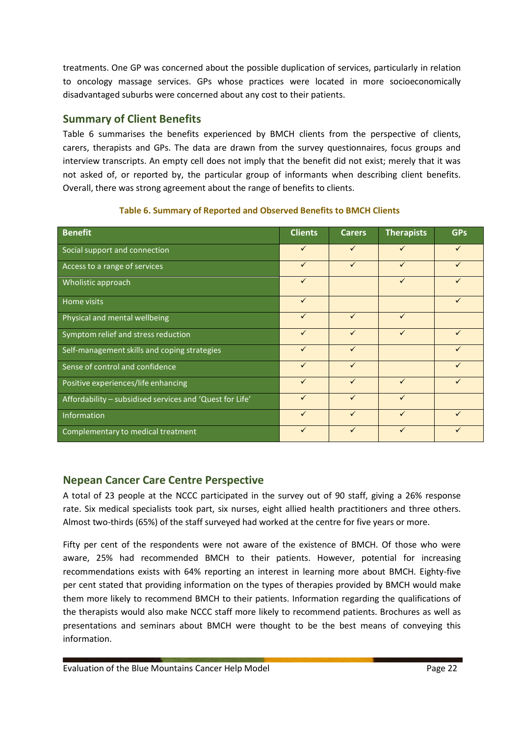treatments. One GP was concerned about the possible duplication of services, particularly in relation to oncology massage services. GPs whose practices were located in more socioeconomically disadvantaged suburbs were concerned about any cost to their patients.

# **Summary of Client Benefits**

Table 6 summarises the benefits experienced by BMCH clients from the perspective of clients, carers, therapists and GPs. The data are drawn from the survey questionnaires, focus groups and interview transcripts. An empty cell does not imply that the benefit did not exist; merely that it was not asked of, or reported by, the particular group of informants when describing client benefits. Overall, there was strong agreement about the range of benefits to clients.

| <b>Benefit</b>                                           | <b>Clients</b> | <b>Carers</b> | <b>Therapists</b> | <b>GPs</b> |
|----------------------------------------------------------|----------------|---------------|-------------------|------------|
| Social support and connection                            | $\checkmark$   | $\checkmark$  | ✓                 | ✓          |
| Access to a range of services                            | $\checkmark$   | $\checkmark$  | $\checkmark$      | ✓          |
| Wholistic approach                                       | $\checkmark$   |               | $\checkmark$      |            |
| Home visits                                              | $\checkmark$   |               |                   |            |
| Physical and mental wellbeing                            | $\checkmark$   | $\checkmark$  | $\checkmark$      |            |
| Symptom relief and stress reduction                      | $\checkmark$   | ✓             | ✓                 |            |
| Self-management skills and coping strategies             | $\checkmark$   | $\checkmark$  |                   |            |
| Sense of control and confidence                          | $\checkmark$   | $\checkmark$  |                   | ✓          |
| Positive experiences/life enhancing                      | $\checkmark$   | $\checkmark$  | $\checkmark$      | ✓          |
| Affordability - subsidised services and 'Quest for Life' |                | $\checkmark$  | $\checkmark$      |            |
| Information                                              | $\checkmark$   | $\checkmark$  | ✓                 |            |
| Complementary to medical treatment                       | ✓              | ✓             | $\checkmark$      |            |

### **Table 6. Summary of Reported and Observed Benefits to BMCH Clients**

# **Nepean Cancer Care Centre Perspective**

A total of 23 people at the NCCC participated in the survey out of 90 staff, giving a 26% response rate. Six medical specialists took part, six nurses, eight allied health practitioners and three others. Almost two-thirds (65%) of the staff surveyed had worked at the centre for five years or more.

Fifty per cent of the respondents were not aware of the existence of BMCH. Of those who were aware, 25% had recommended BMCH to their patients. However, potential for increasing recommendations exists with 64% reporting an interest in learning more about BMCH. Eighty-five per cent stated that providing information on the types of therapies provided by BMCH would make them more likely to recommend BMCH to their patients. Information regarding the qualifications of the therapists would also make NCCC staff more likely to recommend patients. Brochures as well as presentations and seminars about BMCH were thought to be the best means of conveying this information.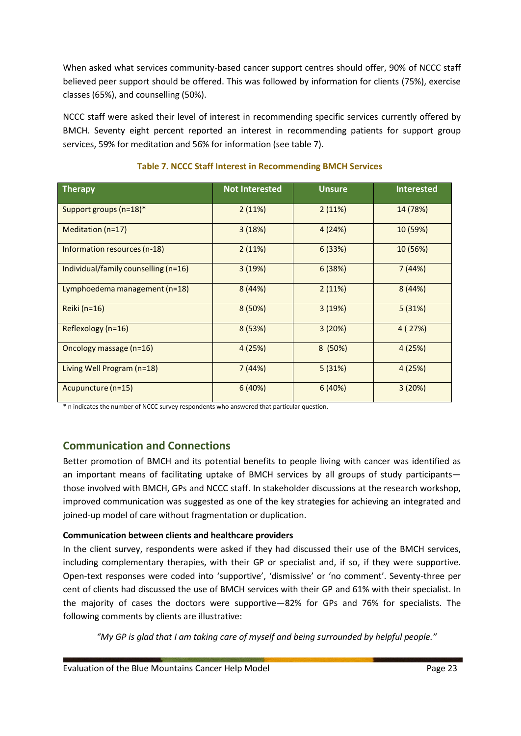When asked what services community-based cancer support centres should offer, 90% of NCCC staff believed peer support should be offered. This was followed by information for clients (75%), exercise classes (65%), and counselling (50%).

NCCC staff were asked their level of interest in recommending specific services currently offered by BMCH. Seventy eight percent reported an interest in recommending patients for support group services, 59% for meditation and 56% for information (see table 7).

| <b>Therapy</b>                       | <b>Not Interested</b> | <b>Unsure</b> | <b>Interested</b> |
|--------------------------------------|-----------------------|---------------|-------------------|
| Support groups (n=18)*               | 2(11%)                | 2(11%)        | 14 (78%)          |
| Meditation $(n=17)$                  | 3(18%)                | 4 (24%)       | 10 (59%)          |
| Information resources (n-18)         | 2(11%)                | 6(33%)        | 10 (56%)          |
| Individual/family counselling (n=16) | 3(19%)                | 6(38%)        | 7(44%)            |
| Lymphoedema management (n=18)        | 8(44%)                | 2(11%)        | 8(44%)            |
| Reiki (n=16)                         | 8(50%)                | 3(19%)        | 5(31%)            |
| Reflexology (n=16)                   | 8(53%)                | 3(20%)        | 4(27%)            |
| Oncology massage (n=16)              | 4 (25%)               | 8(50%)        | 4(25%)            |
| Living Well Program (n=18)           | 7(44%)                | 5(31%)        | 4(25%)            |
| Acupuncture (n=15)                   | 6(40%)                | 6(40%)        | 3(20%)            |

### **Table 7. NCCC Staff Interest in Recommending BMCH Services**

\* n indicates the number of NCCC survey respondents who answered that particular question.

# **Communication and Connections**

Better promotion of BMCH and its potential benefits to people living with cancer was identified as an important means of facilitating uptake of BMCH services by all groups of study participants those involved with BMCH, GPs and NCCC staff. In stakeholder discussions at the research workshop, improved communication was suggested as one of the key strategies for achieving an integrated and joined-up model of care without fragmentation or duplication.

# **Communication between clients and healthcare providers**

In the client survey, respondents were asked if they had discussed their use of the BMCH services, including complementary therapies, with their GP or specialist and, if so, if they were supportive. Open-text responses were coded into 'supportive', 'dismissive' or 'no comment'. Seventy-three per cent of clients had discussed the use of BMCH services with their GP and 61% with their specialist. In the majority of cases the doctors were supportive—82% for GPs and 76% for specialists. The following comments by clients are illustrative:

*"My GP is glad that I am taking care of myself and being surrounded by helpful people."*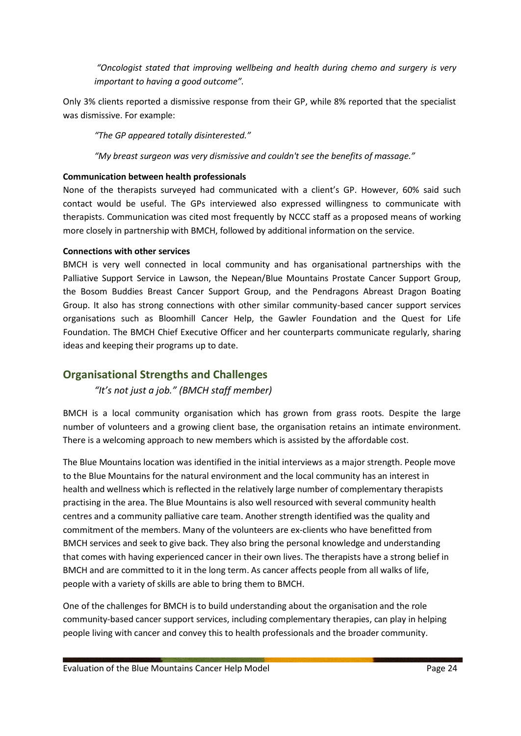*"Oncologist stated that improving wellbeing and health during chemo and surgery is very important to having a good outcome".*

Only 3% clients reported a dismissive response from their GP, while 8% reported that the specialist was dismissive. For example:

*"The GP appeared totally disinterested."*

*"My breast surgeon was very dismissive and couldn't see the benefits of massage."*

### **Communication between health professionals**

None of the therapists surveyed had communicated with a client's GP. However, 60% said such contact would be useful. The GPs interviewed also expressed willingness to communicate with therapists. Communication was cited most frequently by NCCC staff as a proposed means of working more closely in partnership with BMCH, followed by additional information on the service.

### **Connections with other services**

BMCH is very well connected in local community and has organisational partnerships with the Palliative Support Service in Lawson, the Nepean/Blue Mountains Prostate Cancer Support Group, the Bosom Buddies Breast Cancer Support Group, and the Pendragons Abreast Dragon Boating Group. It also has strong connections with other similar community-based cancer support services organisations such as Bloomhill Cancer Help, the Gawler Foundation and the Quest for Life Foundation. The BMCH Chief Executive Officer and her counterparts communicate regularly, sharing ideas and keeping their programs up to date.

# **Organisational Strengths and Challenges**

*"It's not just a job." (BMCH staff member)*

BMCH is a local community organisation which has grown from grass roots. Despite the large number of volunteers and a growing client base, the organisation retains an intimate environment. There is a welcoming approach to new members which is assisted by the affordable cost.

The Blue Mountains location was identified in the initial interviews as a major strength. People move to the Blue Mountains for the natural environment and the local community has an interest in health and wellness which is reflected in the relatively large number of complementary therapists practising in the area. The Blue Mountains is also well resourced with several community health centres and a community palliative care team. Another strength identified was the quality and commitment of the members. Many of the volunteers are ex-clients who have benefitted from BMCH services and seek to give back. They also bring the personal knowledge and understanding that comes with having experienced cancer in their own lives. The therapists have a strong belief in BMCH and are committed to it in the long term. As cancer affects people from all walks of life, people with a variety of skills are able to bring them to BMCH.

One of the challenges for BMCH is to build understanding about the organisation and the role community-based cancer support services, including complementary therapies, can play in helping people living with cancer and convey this to health professionals and the broader community.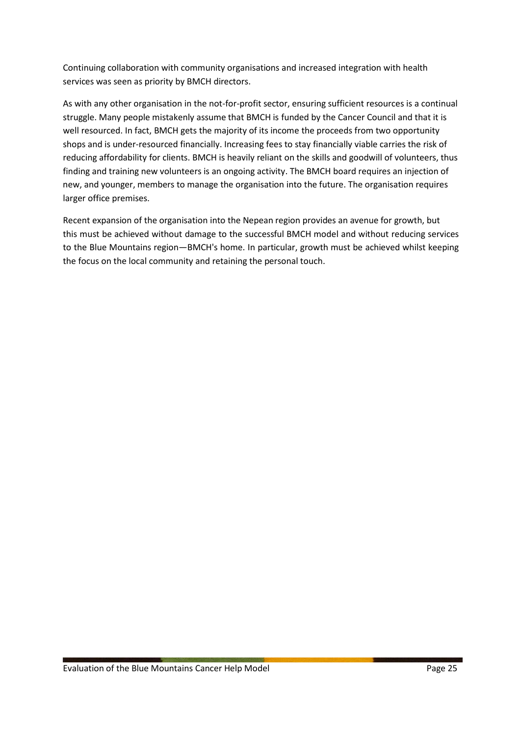Continuing collaboration with community organisations and increased integration with health services was seen as priority by BMCH directors.

As with any other organisation in the not-for-profit sector, ensuring sufficient resources is a continual struggle. Many people mistakenly assume that BMCH is funded by the Cancer Council and that it is well resourced. In fact, BMCH gets the majority of its income the proceeds from two opportunity shops and is under-resourced financially. Increasing fees to stay financially viable carries the risk of reducing affordability for clients. BMCH is heavily reliant on the skills and goodwill of volunteers, thus finding and training new volunteers is an ongoing activity. The BMCH board requires an injection of new, and younger, members to manage the organisation into the future. The organisation requires larger office premises.

Recent expansion of the organisation into the Nepean region provides an avenue for growth, but this must be achieved without damage to the successful BMCH model and without reducing services to the Blue Mountains region—BMCH's home. In particular, growth must be achieved whilst keeping the focus on the local community and retaining the personal touch.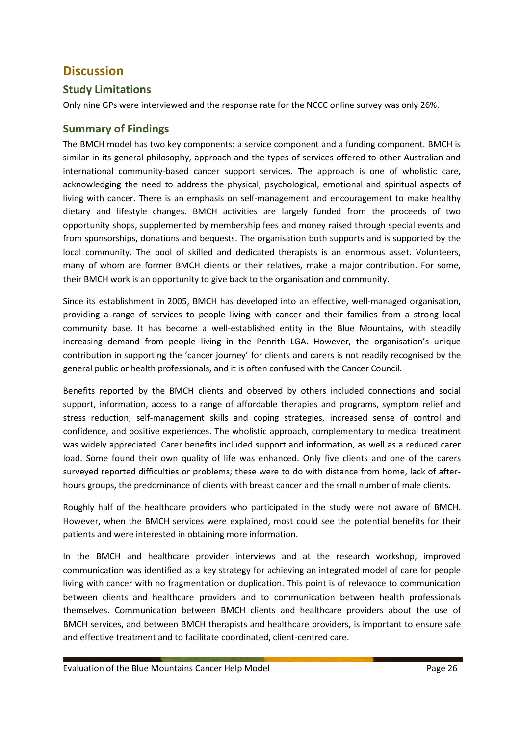# **Discussion**

## **Study Limitations**

Only nine GPs were interviewed and the response rate for the NCCC online survey was only 26%.

# **Summary of Findings**

The BMCH model has two key components: a service component and a funding component. BMCH is similar in its general philosophy, approach and the types of services offered to other Australian and international community-based cancer support services. The approach is one of wholistic care, acknowledging the need to address the physical, psychological, emotional and spiritual aspects of living with cancer. There is an emphasis on self-management and encouragement to make healthy dietary and lifestyle changes. BMCH activities are largely funded from the proceeds of two opportunity shops, supplemented by membership fees and money raised through special events and from sponsorships, donations and bequests. The organisation both supports and is supported by the local community. The pool of skilled and dedicated therapists is an enormous asset. Volunteers, many of whom are former BMCH clients or their relatives, make a major contribution. For some, their BMCH work is an opportunity to give back to the organisation and community.

Since its establishment in 2005, BMCH has developed into an effective, well-managed organisation, providing a range of services to people living with cancer and their families from a strong local community base. It has become a well-established entity in the Blue Mountains, with steadily increasing demand from people living in the Penrith LGA. However, the organisation's unique contribution in supporting the 'cancer journey' for clients and carers is not readily recognised by the general public or health professionals, and it is often confused with the Cancer Council.

Benefits reported by the BMCH clients and observed by others included connections and social support, information, access to a range of affordable therapies and programs, symptom relief and stress reduction, self-management skills and coping strategies, increased sense of control and confidence, and positive experiences. The wholistic approach, complementary to medical treatment was widely appreciated. Carer benefits included support and information, as well as a reduced carer load. Some found their own quality of life was enhanced. Only five clients and one of the carers surveyed reported difficulties or problems; these were to do with distance from home, lack of afterhours groups, the predominance of clients with breast cancer and the small number of male clients.

Roughly half of the healthcare providers who participated in the study were not aware of BMCH. However, when the BMCH services were explained, most could see the potential benefits for their patients and were interested in obtaining more information.

In the BMCH and healthcare provider interviews and at the research workshop, improved communication was identified as a key strategy for achieving an integrated model of care for people living with cancer with no fragmentation or duplication. This point is of relevance to communication between clients and healthcare providers and to communication between health professionals themselves. Communication between BMCH clients and healthcare providers about the use of BMCH services, and between BMCH therapists and healthcare providers, is important to ensure safe and effective treatment and to facilitate coordinated, client-centred care.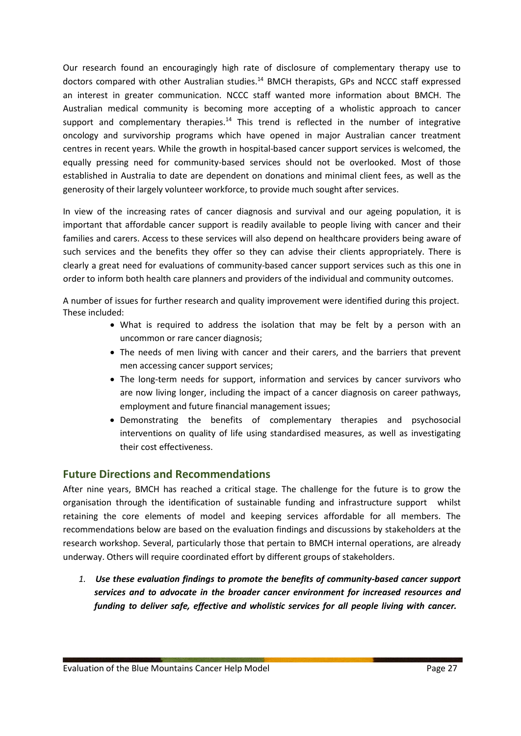Our research found an encouragingly high rate of disclosure of complementary therapy use to doctors compared with other Australian studies.<sup>14</sup> BMCH therapists, GPs and NCCC staff expressed an interest in greater communication. NCCC staff wanted more information about BMCH. The Australian medical community is becoming more accepting of a wholistic approach to cancer support and complementary therapies.<sup>14</sup> This trend is reflected in the number of integrative oncology and survivorship programs which have opened in major Australian cancer treatment centres in recent years. While the growth in hospital-based cancer support services is welcomed, the equally pressing need for community-based services should not be overlooked. Most of those established in Australia to date are dependent on donations and minimal client fees, as well as the generosity of their largely volunteer workforce, to provide much sought after services.

In view of the increasing rates of cancer diagnosis and survival and our ageing population, it is important that affordable cancer support is readily available to people living with cancer and their families and carers. Access to these services will also depend on healthcare providers being aware of such services and the benefits they offer so they can advise their clients appropriately. There is clearly a great need for evaluations of community-based cancer support services such as this one in order to inform both health care planners and providers of the individual and community outcomes.

A number of issues for further research and quality improvement were identified during this project. These included:

- What is required to address the isolation that may be felt by a person with an uncommon or rare cancer diagnosis;
- The needs of men living with cancer and their carers, and the barriers that prevent men accessing cancer support services;
- The long-term needs for support, information and services by cancer survivors who are now living longer, including the impact of a cancer diagnosis on career pathways, employment and future financial management issues;
- Demonstrating the benefits of complementary therapies and psychosocial interventions on quality of life using standardised measures, as well as investigating their cost effectiveness.

# **Future Directions and Recommendations**

After nine years, BMCH has reached a critical stage. The challenge for the future is to grow the organisation through the identification of sustainable funding and infrastructure support whilst retaining the core elements of model and keeping services affordable for all members. The recommendations below are based on the evaluation findings and discussions by stakeholders at the research workshop. Several, particularly those that pertain to BMCH internal operations, are already underway. Others will require coordinated effort by different groups of stakeholders.

*1. Use these evaluation findings to promote the benefits of community-based cancer support services and to advocate in the broader cancer environment for increased resources and funding to deliver safe, effective and wholistic services for all people living with cancer.*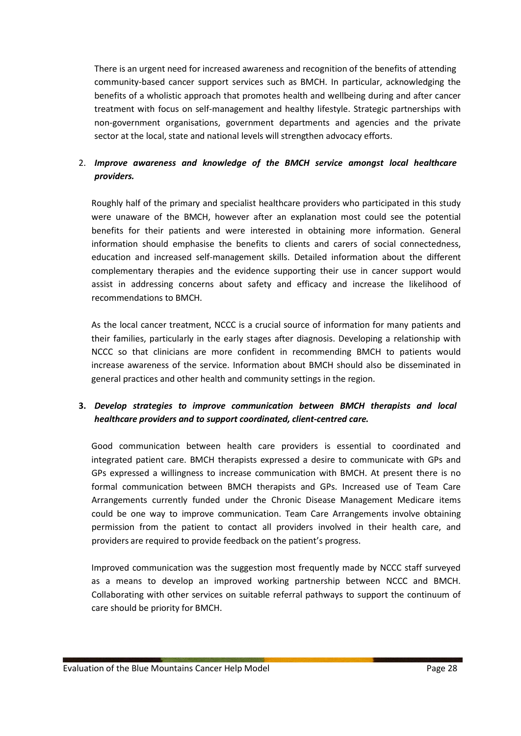There is an urgent need for increased awareness and recognition of the benefits of attending community-based cancer support services such as BMCH. In particular, acknowledging the benefits of a wholistic approach that promotes health and wellbeing during and after cancer treatment with focus on self-management and healthy lifestyle. Strategic partnerships with non-government organisations, government departments and agencies and the private sector at the local, state and national levels will strengthen advocacy efforts.

### 2. *Improve awareness and knowledge of the BMCH service amongst local healthcare providers.*

Roughly half of the primary and specialist healthcare providers who participated in this study were unaware of the BMCH, however after an explanation most could see the potential benefits for their patients and were interested in obtaining more information. General information should emphasise the benefits to clients and carers of social connectedness, education and increased self-management skills. Detailed information about the different complementary therapies and the evidence supporting their use in cancer support would assist in addressing concerns about safety and efficacy and increase the likelihood of recommendations to BMCH.

As the local cancer treatment, NCCC is a crucial source of information for many patients and their families, particularly in the early stages after diagnosis. Developing a relationship with NCCC so that clinicians are more confident in recommending BMCH to patients would increase awareness of the service. Information about BMCH should also be disseminated in general practices and other health and community settings in the region.

### **3.** *Develop strategies to improve communication between BMCH therapists and local healthcare providers and to support coordinated, client-centred care.*

Good communication between health care providers is essential to coordinated and integrated patient care. BMCH therapists expressed a desire to communicate with GPs and GPs expressed a willingness to increase communication with BMCH. At present there is no formal communication between BMCH therapists and GPs. Increased use of Team Care Arrangements currently funded under the Chronic Disease Management Medicare items could be one way to improve communication. Team Care Arrangements involve obtaining permission from the patient to contact all providers involved in their health care, and providers are required to provide feedback on the patient's progress.

Improved communication was the suggestion most frequently made by NCCC staff surveyed as a means to develop an improved working partnership between NCCC and BMCH. Collaborating with other services on suitable referral pathways to support the continuum of care should be priority for BMCH.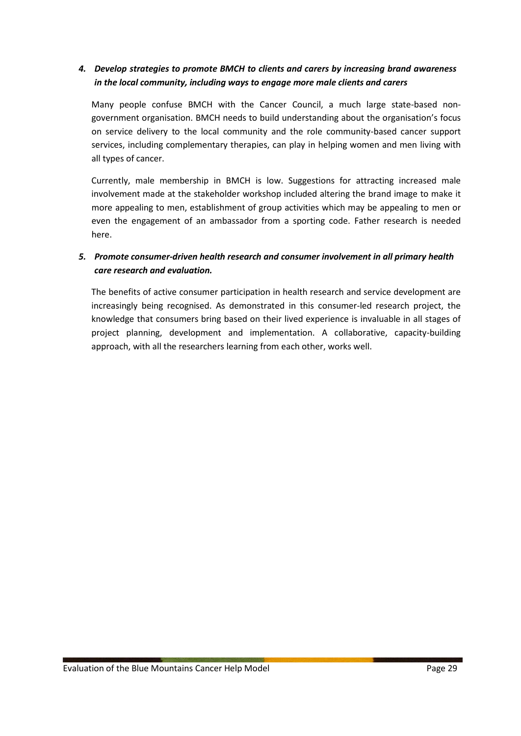### *4. Develop strategies to promote BMCH to clients and carers by increasing brand awareness in the local community, including ways to engage more male clients and carers*

Many people confuse BMCH with the Cancer Council, a much large state-based nongovernment organisation. BMCH needs to build understanding about the organisation's focus on service delivery to the local community and the role community-based cancer support services, including complementary therapies, can play in helping women and men living with all types of cancer.

Currently, male membership in BMCH is low. Suggestions for attracting increased male involvement made at the stakeholder workshop included altering the brand image to make it more appealing to men, establishment of group activities which may be appealing to men or even the engagement of an ambassador from a sporting code. Father research is needed here.

### *5. Promote consumer-driven health research and consumer involvement in all primary health care research and evaluation.*

The benefits of active consumer participation in health research and service development are increasingly being recognised. As demonstrated in this consumer-led research project, the knowledge that consumers bring based on their lived experience is invaluable in all stages of project planning, development and implementation. A collaborative, capacity-building approach, with all the researchers learning from each other, works well.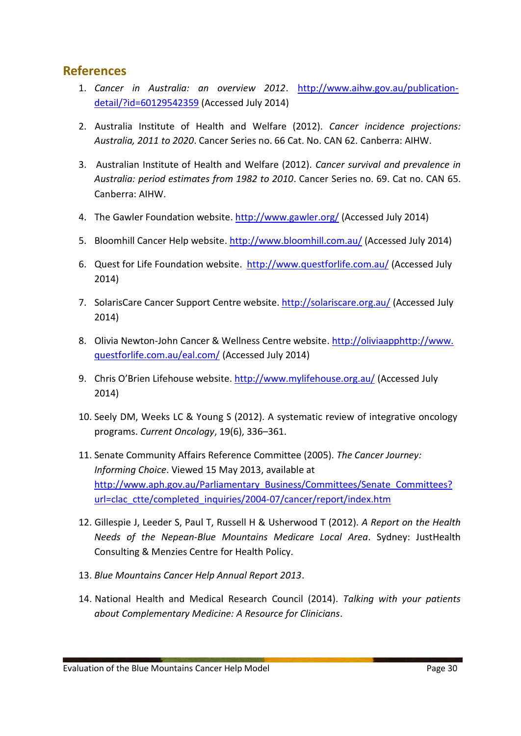# **References**

- 1. *Cancer in Australia: an overview 2012*. [http://www.aihw.gov.au/publication](http://www.aihw.gov.au/publication-detail/?id=60129542359)[detail/?id=60129542359](http://www.aihw.gov.au/publication-detail/?id=60129542359) (Accessed July 2014)
- 2. Australia Institute of Health and Welfare (2012). *Cancer incidence projections: Australia, 2011 to 2020*. Cancer Series no. 66 Cat. No. CAN 62. Canberra: AIHW.
- 3. Australian Institute of Health and Welfare (2012). *Cancer survival and prevalence in Australia: period estimates from 1982 to 2010*. Cancer Series no. 69. Cat no. CAN 65. Canberra: AIHW.
- 4. The Gawler Foundation website.<http://www.gawler.org/> (Accessed July 2014)
- 5. Bloomhill Cancer Help website[. http://www.bloomhill.com.au/](http://www.bloomhill.com.au/) (Accessed July 2014)
- 6. Quest for Life Foundation website. <http://www.questforlife.com.au/> (Accessed July 2014)
- 7. SolarisCare Cancer Support Centre website.<http://solariscare.org.au/> (Accessed July 2014)
- 8. Olivia Newton-John Cancer & Wellness Centre website. [http://oliviaapphttp://www.](http://oliviaapphttp/www.%20questforlife.com.au/eal.com/) [questforlife.com.au/eal.com/](http://oliviaapphttp/www.%20questforlife.com.au/eal.com/) (Accessed July 2014)
- 9. Chris O'Brien Lifehouse website.<http://www.mylifehouse.org.au/> (Accessed July 2014)
- 10. Seely DM, Weeks LC & Young S (2012). A systematic review of integrative oncology programs. *Current Oncology*, 19(6), 336–361.
- 11. Senate Community Affairs Reference Committee (2005). *The Cancer Journey: Informing Choice*. Viewed 15 May 2013, available at [http://www.aph.gov.au/Parliamentary\\_Business/Committees/Senate\\_Committees?](http://www.aph.gov.au/Parliamentary_Business/Committees/Senate_Committees) url=clac\_ctte/completed\_inquiries/2004-07/cancer/report/index.htm
- 12. Gillespie J, Leeder S, Paul T, Russell H & Usherwood T (2012). *A Report on the Health Needs of the Nepean-Blue Mountains Medicare Local Area*. Sydney: JustHealth Consulting & Menzies Centre for Health Policy.
- 13. *Blue Mountains Cancer Help Annual Report 2013*.
- 14. National Health and Medical Research Council (2014). *Talking with your patients about Complementary Medicine: A Resource for Clinicians*.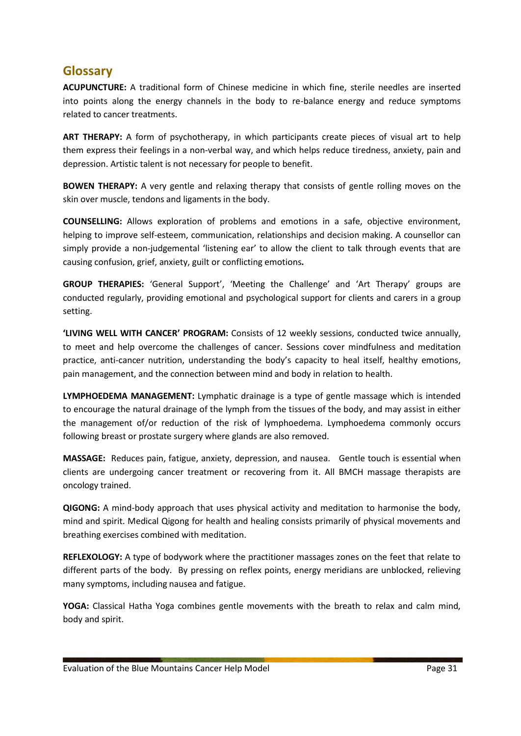# **Glossary**

**ACUPUNCTURE:** A traditional form of Chinese medicine in which fine, sterile needles are inserted into points along the energy channels in the body to re-balance energy and reduce symptoms related to cancer treatments.

**ART THERAPY:** A form of psychotherapy, in which participants create pieces of visual art to help them express their feelings in a non-verbal way, and which helps reduce tiredness, anxiety, pain and depression. Artistic talent is not necessary for people to benefit.

**BOWEN THERAPY:** A very gentle and relaxing therapy that consists of gentle rolling moves on the skin over muscle, tendons and ligaments in the body.

**COUNSELLING:** Allows exploration of problems and emotions in a safe, objective environment, helping to improve self-esteem, communication, relationships and decision making. A counsellor can simply provide a non-judgemental 'listening ear' to allow the client to talk through events that are causing confusion, grief, anxiety, guilt or conflicting emotions**.**

**GROUP THERAPIES:** 'General Support', 'Meeting the Challenge' and 'Art Therapy' groups are conducted regularly, providing emotional and psychological support for clients and carers in a group setting.

**'LIVING WELL WITH CANCER' PROGRAM:** Consists of 12 weekly sessions, conducted twice annually, to meet and help overcome the challenges of cancer. Sessions cover mindfulness and meditation practice, anti-cancer nutrition, understanding the body's capacity to heal itself, healthy emotions, pain management, and the connection between mind and body in relation to health.

**LYMPHOEDEMA MANAGEMENT:** Lymphatic drainage is a type of gentle massage which is intended to encourage the natural drainage of the lymph from the tissues of the body, and may assist in either the management of/or reduction of the risk of lymphoedema. Lymphoedema commonly occurs following breast or prostate surgery where glands are also removed.

**MASSAGE:** Reduces pain, fatigue, anxiety, depression, and nausea. Gentle touch is essential when clients are undergoing cancer treatment or recovering from it. All BMCH massage therapists are oncology trained.

**QIGONG:** A mind-body approach that uses physical activity and meditation to harmonise the body, mind and spirit. Medical Qigong for health and healing consists primarily of physical movements and breathing exercises combined with meditation.

**REFLEXOLOGY:** A type of bodywork where the practitioner massages zones on the feet that relate to different parts of the body. By pressing on reflex points, energy meridians are unblocked, relieving many symptoms, including nausea and fatigue.

**YOGA:** Classical Hatha Yoga combines gentle movements with the breath to relax and calm mind, body and spirit.